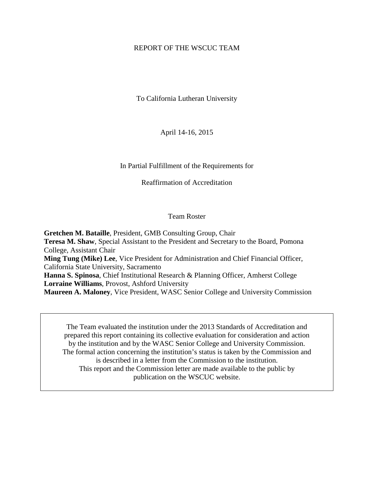# REPORT OF THE WSCUC TEAM

To California Lutheran University

April 14-16, 2015

In Partial Fulfillment of the Requirements for

Reaffirmation of Accreditation

# Team Roster

**Gretchen M. Bataille**, President, GMB Consulting Group, Chair **Teresa M. Shaw**, Special Assistant to the President and Secretary to the Board, Pomona College, Assistant Chair **Ming Tung (Mike) Lee**, Vice President for Administration and Chief Financial Officer, California State University, Sacramento **Hanna S. Spinosa**, Chief Institutional Research & Planning Officer, Amherst College **Lorraine Williams**, Provost, Ashford University

**Maureen A. Maloney**, Vice President, WASC Senior College and University Commission

The Team evaluated the institution under the 2013 Standards of Accreditation and prepared this report containing its collective evaluation for consideration and action by the institution and by the WASC Senior College and University Commission. The formal action concerning the institution's status is taken by the Commission and is described in a letter from the Commission to the institution. This report and the Commission letter are made available to the public by publication on the WSCUC website.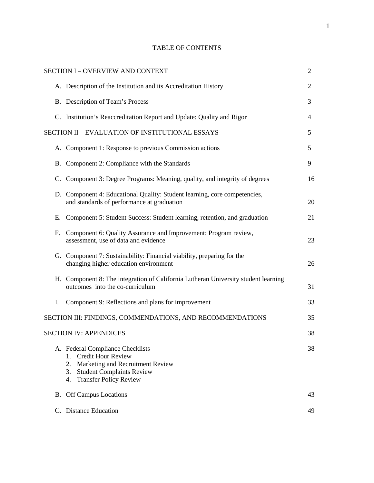|  | <b>TABLE OF CONTENTS</b> |
|--|--------------------------|
|--|--------------------------|

|    | <b>SECTION I-OVERVIEW AND CONTEXT</b>                                                                                                                                                          | $\overline{2}$ |
|----|------------------------------------------------------------------------------------------------------------------------------------------------------------------------------------------------|----------------|
|    | A. Description of the Institution and its Accreditation History                                                                                                                                | $\overline{2}$ |
|    | B. Description of Team's Process                                                                                                                                                               | 3              |
|    | C. Institution's Reaccreditation Report and Update: Quality and Rigor                                                                                                                          | 4              |
|    | SECTION II - EVALUATION OF INSTITUTIONAL ESSAYS                                                                                                                                                | 5              |
|    | A. Component 1: Response to previous Commission actions                                                                                                                                        | 5              |
|    | B. Component 2: Compliance with the Standards                                                                                                                                                  | 9              |
| C. | Component 3: Degree Programs: Meaning, quality, and integrity of degrees                                                                                                                       | 16             |
|    | D. Component 4: Educational Quality: Student learning, core competencies,<br>and standards of performance at graduation                                                                        | 20             |
| Е. | Component 5: Student Success: Student learning, retention, and graduation                                                                                                                      | 21             |
| F. | Component 6: Quality Assurance and Improvement: Program review,<br>assessment, use of data and evidence                                                                                        | 23             |
|    | G. Component 7: Sustainability: Financial viability, preparing for the<br>changing higher education environment                                                                                | 26             |
|    | H. Component 8: The integration of California Lutheran University student learning<br>outcomes into the co-curriculum                                                                          | 31             |
| I. | Component 9: Reflections and plans for improvement                                                                                                                                             | 33             |
|    | SECTION III: FINDINGS, COMMENDATIONS, AND RECOMMENDATIONS                                                                                                                                      | 35             |
|    | <b>SECTION IV: APPENDICES</b>                                                                                                                                                                  | 38             |
|    | A. Federal Compliance Checklists<br><b>Credit Hour Review</b><br>1.<br>2.<br>Marketing and Recruitment Review<br><b>Student Complaints Review</b><br>3.<br><b>Transfer Policy Review</b><br>4. | 38             |
|    | <b>B.</b> Off Campus Locations                                                                                                                                                                 | 43             |
|    | C. Distance Education                                                                                                                                                                          | 49             |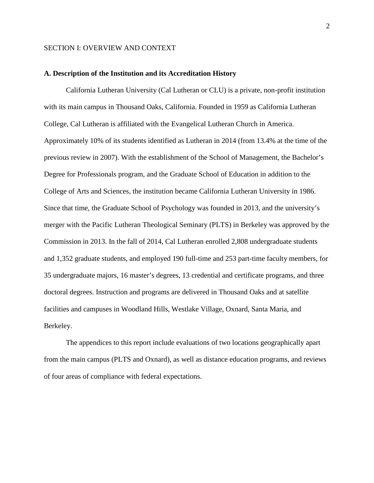# SECTION I: OVERVIEW AND CONTEXT

#### **A. Description of the Institution and its Accreditation History**

California Lutheran University (Cal Lutheran or CLU) is a private, non-profit institution with its main campus in Thousand Oaks, California. Founded in 1959 as California Lutheran College, Cal Lutheran is affiliated with the Evangelical Lutheran Church in America. Approximately 10% of its students identified as Lutheran in 2014 (from 13.4% at the time of the previous review in 2007). With the establishment of the School of Management, the Bachelor's Degree for Professionals program, and the Graduate School of Education in addition to the College of Arts and Sciences, the institution became California Lutheran University in 1986. Since that time, the Graduate School of Psychology was founded in 2013, and the university's merger with the Pacific Lutheran Theological Seminary (PLTS) in Berkeley was approved by the Commission in 2013. In the fall of 2014, Cal Lutheran enrolled 2,808 undergraduate students and 1,352 graduate students, and employed 190 full-time and 253 part-time faculty members, for 35 undergraduate majors, 16 master's degrees, 13 credential and certificate programs, and three doctoral degrees. Instruction and programs are delivered in Thousand Oaks and at satellite facilities and campuses in Woodland Hills, Westlake Village, Oxnard, Santa Maria, and Berkeley.

The appendices to this report include evaluations of two locations geographically apart from the main campus (PLTS and Oxnard), as well as distance education programs, and reviews of four areas of compliance with federal expectations.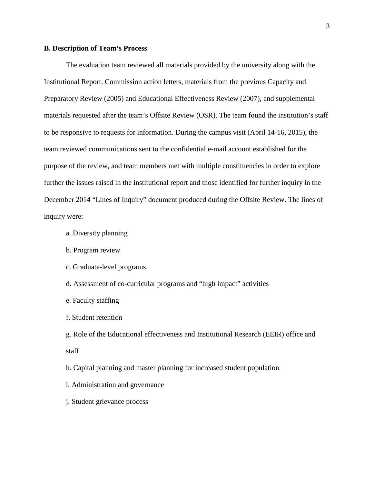### **B. Description of Team's Process**

The evaluation team reviewed all materials provided by the university along with the Institutional Report, Commission action letters, materials from the previous Capacity and Preparatory Review (2005) and Educational Effectiveness Review (2007), and supplemental materials requested after the team's Offsite Review (OSR). The team found the institution's staff to be responsive to requests for information. During the campus visit (April 14-16, 2015), the team reviewed communications sent to the confidential e-mail account established for the purpose of the review, and team members met with multiple constituencies in order to explore further the issues raised in the institutional report and those identified for further inquiry in the December 2014 "Lines of Inquiry" document produced during the Offsite Review. The lines of inquiry were:

- a. Diversity planning
- b. Program review
- c. Graduate-level programs
- d. Assessment of co-curricular programs and "high impact" activities
- e. Faculty staffing
- f. Student retention

g. Role of the Educational effectiveness and Institutional Research (EEIR) office and staff

h. Capital planning and master planning for increased student population

- i. Administration and governance
- j. Student grievance process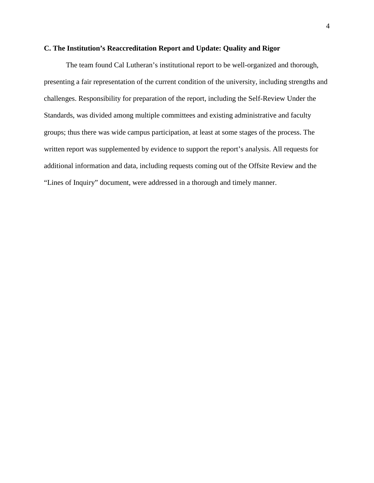## **C. The Institution's Reaccreditation Report and Update: Quality and Rigor**

The team found Cal Lutheran's institutional report to be well-organized and thorough, presenting a fair representation of the current condition of the university, including strengths and challenges. Responsibility for preparation of the report, including the Self-Review Under the Standards, was divided among multiple committees and existing administrative and faculty groups; thus there was wide campus participation, at least at some stages of the process. The written report was supplemented by evidence to support the report's analysis. All requests for additional information and data, including requests coming out of the Offsite Review and the "Lines of Inquiry" document, were addressed in a thorough and timely manner.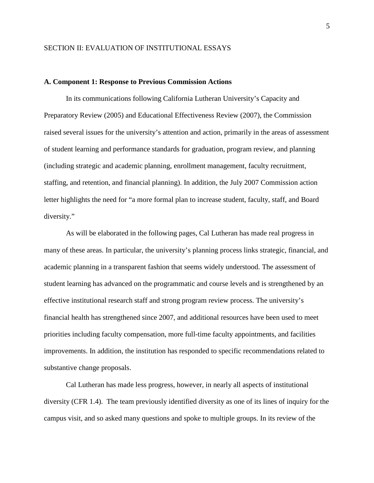### **A. Component 1: Response to Previous Commission Actions**

In its communications following California Lutheran University's Capacity and Preparatory Review (2005) and Educational Effectiveness Review (2007), the Commission raised several issues for the university's attention and action, primarily in the areas of assessment of student learning and performance standards for graduation, program review, and planning (including strategic and academic planning, enrollment management, faculty recruitment, staffing, and retention, and financial planning). In addition, the July 2007 Commission action letter highlights the need for "a more formal plan to increase student, faculty, staff, and Board diversity."

As will be elaborated in the following pages, Cal Lutheran has made real progress in many of these areas. In particular, the university's planning process links strategic, financial, and academic planning in a transparent fashion that seems widely understood. The assessment of student learning has advanced on the programmatic and course levels and is strengthened by an effective institutional research staff and strong program review process. The university's financial health has strengthened since 2007, and additional resources have been used to meet priorities including faculty compensation, more full-time faculty appointments, and facilities improvements. In addition, the institution has responded to specific recommendations related to substantive change proposals.

Cal Lutheran has made less progress, however, in nearly all aspects of institutional diversity (CFR 1.4). The team previously identified diversity as one of its lines of inquiry for the campus visit, and so asked many questions and spoke to multiple groups. In its review of the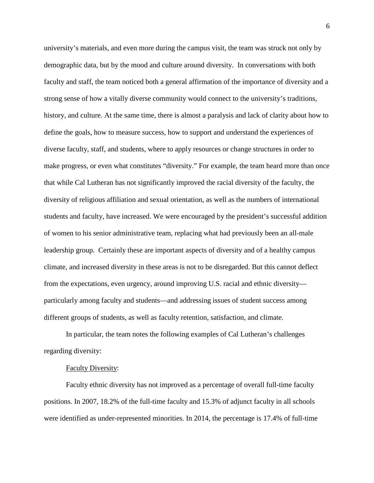university's materials, and even more during the campus visit, the team was struck not only by demographic data, but by the mood and culture around diversity. In conversations with both faculty and staff, the team noticed both a general affirmation of the importance of diversity and a strong sense of how a vitally diverse community would connect to the university's traditions, history, and culture. At the same time, there is almost a paralysis and lack of clarity about how to define the goals, how to measure success, how to support and understand the experiences of diverse faculty, staff, and students, where to apply resources or change structures in order to make progress, or even what constitutes "diversity." For example, the team heard more than once that while Cal Lutheran has not significantly improved the racial diversity of the faculty, the diversity of religious affiliation and sexual orientation, as well as the numbers of international students and faculty, have increased. We were encouraged by the president's successful addition of women to his senior administrative team, replacing what had previously been an all-male leadership group. Certainly these are important aspects of diversity and of a healthy campus climate, and increased diversity in these areas is not to be disregarded. But this cannot deflect from the expectations, even urgency, around improving U.S. racial and ethnic diversity particularly among faculty and students—and addressing issues of student success among different groups of students, as well as faculty retention, satisfaction, and climate.

In particular, the team notes the following examples of Cal Lutheran's challenges regarding diversity:

### Faculty Diversity:

Faculty ethnic diversity has not improved as a percentage of overall full-time faculty positions. In 2007, 18.2% of the full-time faculty and 15.3% of adjunct faculty in all schools were identified as under-represented minorities. In 2014, the percentage is 17.4% of full-time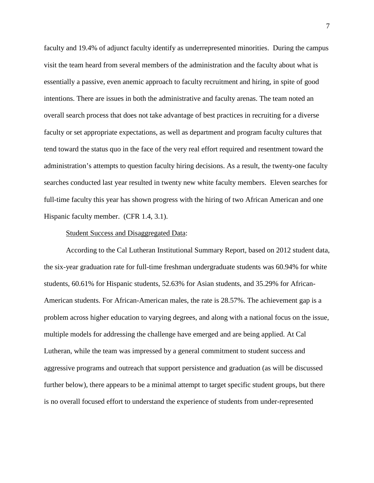faculty and 19.4% of adjunct faculty identify as underrepresented minorities. During the campus visit the team heard from several members of the administration and the faculty about what is essentially a passive, even anemic approach to faculty recruitment and hiring, in spite of good intentions. There are issues in both the administrative and faculty arenas. The team noted an overall search process that does not take advantage of best practices in recruiting for a diverse faculty or set appropriate expectations, as well as department and program faculty cultures that tend toward the status quo in the face of the very real effort required and resentment toward the administration's attempts to question faculty hiring decisions. As a result, the twenty-one faculty searches conducted last year resulted in twenty new white faculty members. Eleven searches for full-time faculty this year has shown progress with the hiring of two African American and one Hispanic faculty member. (CFR 1.4, 3.1).

#### Student Success and Disaggregated Data:

According to the Cal Lutheran Institutional Summary Report, based on 2012 student data, the six-year graduation rate for full-time freshman undergraduate students was 60.94% for white students, 60.61% for Hispanic students, 52.63% for Asian students, and 35.29% for African-American students. For African-American males, the rate is 28.57%. The achievement gap is a problem across higher education to varying degrees, and along with a national focus on the issue, multiple models for addressing the challenge have emerged and are being applied. At Cal Lutheran, while the team was impressed by a general commitment to student success and aggressive programs and outreach that support persistence and graduation (as will be discussed further below), there appears to be a minimal attempt to target specific student groups, but there is no overall focused effort to understand the experience of students from under-represented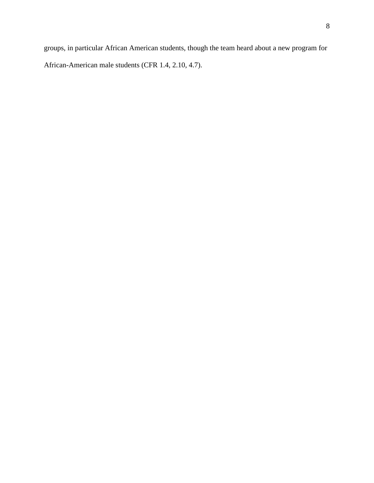groups, in particular African American students, though the team heard about a new program for African-American male students (CFR 1.4, 2.10, 4.7).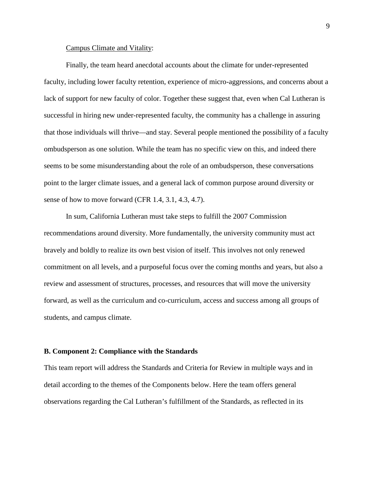#### Campus Climate and Vitality:

Finally, the team heard anecdotal accounts about the climate for under-represented faculty, including lower faculty retention, experience of micro-aggressions, and concerns about a lack of support for new faculty of color. Together these suggest that, even when Cal Lutheran is successful in hiring new under-represented faculty, the community has a challenge in assuring that those individuals will thrive—and stay. Several people mentioned the possibility of a faculty ombudsperson as one solution. While the team has no specific view on this, and indeed there seems to be some misunderstanding about the role of an ombudsperson, these conversations point to the larger climate issues, and a general lack of common purpose around diversity or sense of how to move forward (CFR 1.4, 3.1, 4.3, 4.7).

In sum, California Lutheran must take steps to fulfill the 2007 Commission recommendations around diversity. More fundamentally, the university community must act bravely and boldly to realize its own best vision of itself. This involves not only renewed commitment on all levels, and a purposeful focus over the coming months and years, but also a review and assessment of structures, processes, and resources that will move the university forward, as well as the curriculum and co-curriculum, access and success among all groups of students, and campus climate.

#### **B. Component 2: Compliance with the Standards**

This team report will address the Standards and Criteria for Review in multiple ways and in detail according to the themes of the Components below. Here the team offers general observations regarding the Cal Lutheran's fulfillment of the Standards, as reflected in its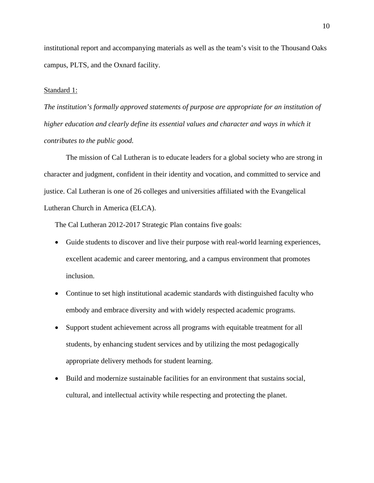institutional report and accompanying materials as well as the team's visit to the Thousand Oaks campus, PLTS, and the Oxnard facility.

## Standard 1:

*The institution's formally approved statements of purpose are appropriate for an institution of higher education and clearly define its essential values and character and ways in which it contributes to the public good.*

The mission of Cal Lutheran is to educate leaders for a global society who are strong in character and judgment, confident in their identity and vocation, and committed to service and justice. Cal Lutheran is one of 26 colleges and universities affiliated with the Evangelical Lutheran Church in America (ELCA).

The Cal Lutheran 2012-2017 Strategic Plan contains five goals:

- Guide students to discover and live their purpose with real-world learning experiences, excellent academic and career mentoring, and a campus environment that promotes inclusion.
- Continue to set high institutional academic standards with distinguished faculty who embody and embrace diversity and with widely respected academic programs.
- Support student achievement across all programs with equitable treatment for all students, by enhancing student services and by utilizing the most pedagogically appropriate delivery methods for student learning.
- Build and modernize sustainable facilities for an environment that sustains social, cultural, and intellectual activity while respecting and protecting the planet.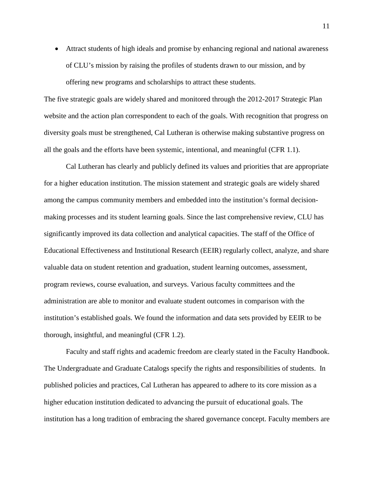• Attract students of high ideals and promise by enhancing regional and national awareness of CLU's mission by raising the profiles of students drawn to our mission, and by offering new programs and scholarships to attract these students.

The five strategic goals are widely shared and monitored through the 2012-2017 Strategic Plan website and the action plan correspondent to each of the goals. With recognition that progress on diversity goals must be strengthened, Cal Lutheran is otherwise making substantive progress on all the goals and the efforts have been systemic, intentional, and meaningful (CFR 1.1).

Cal Lutheran has clearly and publicly defined its values and priorities that are appropriate for a higher education institution. The mission statement and strategic goals are widely shared among the campus community members and embedded into the institution's formal decisionmaking processes and its student learning goals. Since the last comprehensive review, CLU has significantly improved its data collection and analytical capacities. The staff of the Office of Educational Effectiveness and Institutional Research (EEIR) regularly collect, analyze, and share valuable data on student retention and graduation, student learning outcomes, assessment, program reviews, course evaluation, and surveys. Various faculty committees and the administration are able to monitor and evaluate student outcomes in comparison with the institution's established goals. We found the information and data sets provided by EEIR to be thorough, insightful, and meaningful (CFR 1.2).

Faculty and staff rights and academic freedom are clearly stated in the Faculty Handbook. The Undergraduate and Graduate Catalogs specify the rights and responsibilities of students. In published policies and practices, Cal Lutheran has appeared to adhere to its core mission as a higher education institution dedicated to advancing the pursuit of educational goals. The institution has a long tradition of embracing the shared governance concept. Faculty members are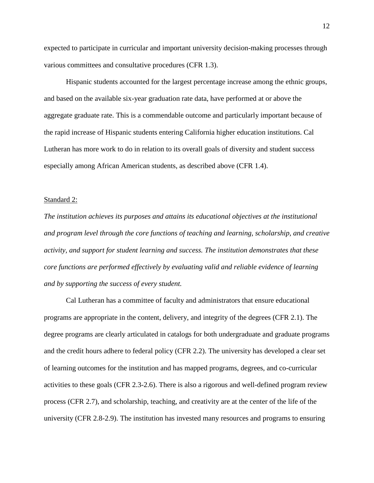expected to participate in curricular and important university decision-making processes through various committees and consultative procedures (CFR 1.3).

Hispanic students accounted for the largest percentage increase among the ethnic groups, and based on the available six-year graduation rate data, have performed at or above the aggregate graduate rate. This is a commendable outcome and particularly important because of the rapid increase of Hispanic students entering California higher education institutions. Cal Lutheran has more work to do in relation to its overall goals of diversity and student success especially among African American students, as described above (CFR 1.4).

#### Standard 2:

*The institution achieves its purposes and attains its educational objectives at the institutional and program level through the core functions of teaching and learning, scholarship, and creative activity, and support for student learning and success. The institution demonstrates that these core functions are performed effectively by evaluating valid and reliable evidence of learning and by supporting the success of every student.*

Cal Lutheran has a committee of faculty and administrators that ensure educational programs are appropriate in the content, delivery, and integrity of the degrees (CFR 2.1). The degree programs are clearly articulated in catalogs for both undergraduate and graduate programs and the credit hours adhere to federal policy (CFR 2.2). The university has developed a clear set of learning outcomes for the institution and has mapped programs, degrees, and co-curricular activities to these goals (CFR 2.3-2.6). There is also a rigorous and well-defined program review process (CFR 2.7), and scholarship, teaching, and creativity are at the center of the life of the university (CFR 2.8-2.9). The institution has invested many resources and programs to ensuring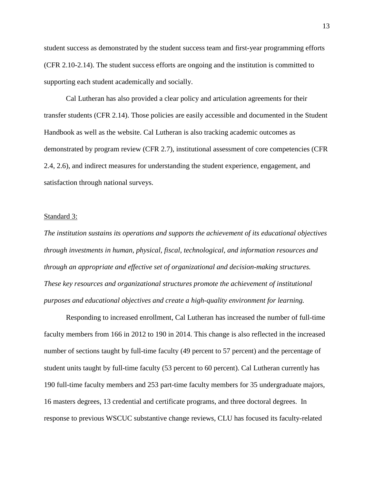student success as demonstrated by the student success team and first-year programming efforts (CFR 2.10-2.14). The student success efforts are ongoing and the institution is committed to supporting each student academically and socially.

Cal Lutheran has also provided a clear policy and articulation agreements for their transfer students (CFR 2.14). Those policies are easily accessible and documented in the Student Handbook as well as the website. Cal Lutheran is also tracking academic outcomes as demonstrated by program review (CFR 2.7), institutional assessment of core competencies (CFR 2.4, 2.6), and indirect measures for understanding the student experience, engagement, and satisfaction through national surveys.

### Standard 3:

*The institution sustains its operations and supports the achievement of its educational objectives through investments in human, physical, fiscal, technological, and information resources and through an appropriate and effective set of organizational and decision-making structures. These key resources and organizational structures promote the achievement of institutional purposes and educational objectives and create a high-quality environment for learning.*

Responding to increased enrollment, Cal Lutheran has increased the number of full-time faculty members from 166 in 2012 to 190 in 2014. This change is also reflected in the increased number of sections taught by full-time faculty (49 percent to 57 percent) and the percentage of student units taught by full-time faculty (53 percent to 60 percent). Cal Lutheran currently has 190 full-time faculty members and 253 part-time faculty members for 35 undergraduate majors, 16 masters degrees, 13 credential and certificate programs, and three doctoral degrees. In response to previous WSCUC substantive change reviews, CLU has focused its faculty-related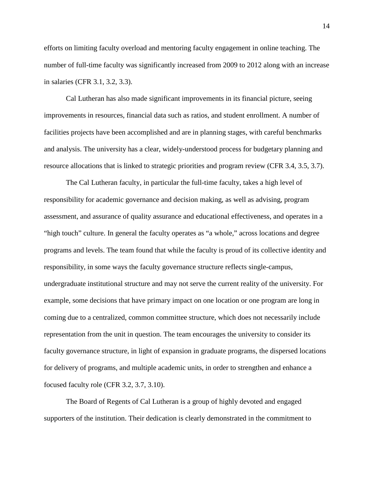efforts on limiting faculty overload and mentoring faculty engagement in online teaching. The number of full-time faculty was significantly increased from 2009 to 2012 along with an increase in salaries (CFR 3.1, 3.2, 3.3).

Cal Lutheran has also made significant improvements in its financial picture, seeing improvements in resources, financial data such as ratios, and student enrollment. A number of facilities projects have been accomplished and are in planning stages, with careful benchmarks and analysis. The university has a clear, widely-understood process for budgetary planning and resource allocations that is linked to strategic priorities and program review (CFR 3.4, 3.5, 3.7).

The Cal Lutheran faculty, in particular the full-time faculty, takes a high level of responsibility for academic governance and decision making, as well as advising, program assessment, and assurance of quality assurance and educational effectiveness, and operates in a "high touch" culture. In general the faculty operates as "a whole," across locations and degree programs and levels. The team found that while the faculty is proud of its collective identity and responsibility, in some ways the faculty governance structure reflects single-campus, undergraduate institutional structure and may not serve the current reality of the university. For example, some decisions that have primary impact on one location or one program are long in coming due to a centralized, common committee structure, which does not necessarily include representation from the unit in question. The team encourages the university to consider its faculty governance structure, in light of expansion in graduate programs, the dispersed locations for delivery of programs, and multiple academic units, in order to strengthen and enhance a focused faculty role (CFR 3.2, 3.7, 3.10).

The Board of Regents of Cal Lutheran is a group of highly devoted and engaged supporters of the institution. Their dedication is clearly demonstrated in the commitment to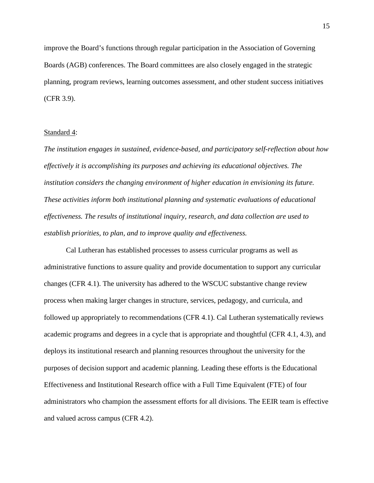improve the Board's functions through regular participation in the Association of Governing Boards (AGB) conferences. The Board committees are also closely engaged in the strategic planning, program reviews, learning outcomes assessment, and other student success initiatives (CFR 3.9).

#### Standard 4:

*The institution engages in sustained, evidence-based, and participatory self-reflection about how effectively it is accomplishing its purposes and achieving its educational objectives. The institution considers the changing environment of higher education in envisioning its future. These activities inform both institutional planning and systematic evaluations of educational effectiveness. The results of institutional inquiry, research, and data collection are used to establish priorities, to plan, and to improve quality and effectiveness.* 

Cal Lutheran has established processes to assess curricular programs as well as administrative functions to assure quality and provide documentation to support any curricular changes (CFR 4.1). The university has adhered to the WSCUC substantive change review process when making larger changes in structure, services, pedagogy, and curricula, and followed up appropriately to recommendations (CFR 4.1). Cal Lutheran systematically reviews academic programs and degrees in a cycle that is appropriate and thoughtful (CFR 4.1, 4.3), and deploys its institutional research and planning resources throughout the university for the purposes of decision support and academic planning. Leading these efforts is the Educational Effectiveness and Institutional Research office with a Full Time Equivalent (FTE) of four administrators who champion the assessment efforts for all divisions. The EEIR team is effective and valued across campus (CFR 4.2).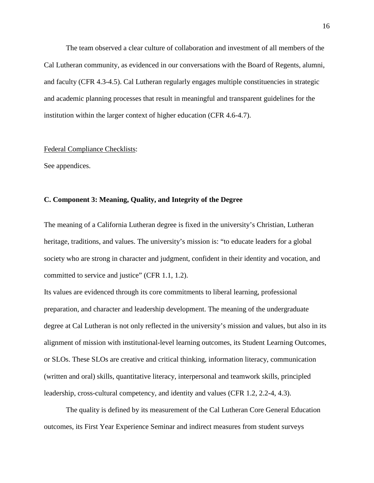The team observed a clear culture of collaboration and investment of all members of the Cal Lutheran community, as evidenced in our conversations with the Board of Regents, alumni, and faculty (CFR 4.3-4.5). Cal Lutheran regularly engages multiple constituencies in strategic and academic planning processes that result in meaningful and transparent guidelines for the institution within the larger context of higher education (CFR 4.6-4.7).

#### Federal Compliance Checklists:

See appendices.

### **C. Component 3: Meaning, Quality, and Integrity of the Degree**

The meaning of a California Lutheran degree is fixed in the university's Christian, Lutheran heritage, traditions, and values. The university's mission is: "to educate leaders for a global society who are strong in character and judgment, confident in their identity and vocation, and committed to service and justice" (CFR 1.1, 1.2).

Its values are evidenced through its core commitments to liberal learning, professional preparation, and character and leadership development. The meaning of the undergraduate degree at Cal Lutheran is not only reflected in the university's mission and values, but also in its alignment of mission with institutional-level learning outcomes, its Student Learning Outcomes, or SLOs. These SLOs are creative and critical thinking, information literacy, communication (written and oral) skills, quantitative literacy, interpersonal and teamwork skills, principled leadership, cross-cultural competency, and identity and values (CFR 1.2, 2.2-4, 4.3).

The quality is defined by its measurement of the Cal Lutheran Core General Education outcomes, its First Year Experience Seminar and indirect measures from student surveys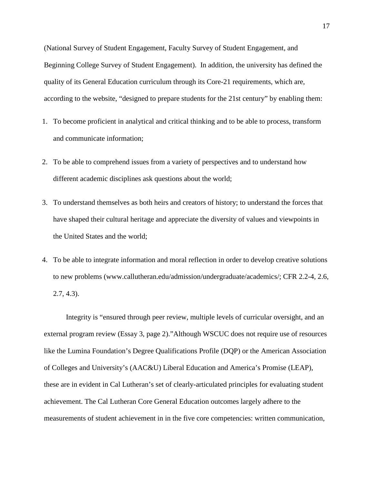(National Survey of Student Engagement, Faculty Survey of Student Engagement, and Beginning College Survey of Student Engagement). In addition, the university has defined the quality of its General Education curriculum through its Core-21 requirements, which are, according to the website, "designed to prepare students for the 21st century" by enabling them:

- 1. To become proficient in analytical and critical thinking and to be able to process, transform and communicate information;
- 2. To be able to comprehend issues from a variety of perspectives and to understand how different academic disciplines ask questions about the world;
- 3. To understand themselves as both heirs and creators of history; to understand the forces that have shaped their cultural heritage and appreciate the diversity of values and viewpoints in the United States and the world;
- 4. To be able to integrate information and moral reflection in order to develop creative solutions to new problems (www.callutheran.edu/admission/undergraduate/academics/; CFR 2.2-4, 2.6, 2.7, 4.3).

Integrity is "ensured through peer review, multiple levels of curricular oversight, and an external program review (Essay 3, page 2)."Although WSCUC does not require use of resources like the Lumina Foundation's Degree Qualifications Profile (DQP) or the American Association of Colleges and University's (AAC&U) Liberal Education and America's Promise (LEAP), these are in evident in Cal Lutheran's set of clearly-articulated principles for evaluating student achievement. The Cal Lutheran Core General Education outcomes largely adhere to the measurements of student achievement in in the five core competencies: written communication,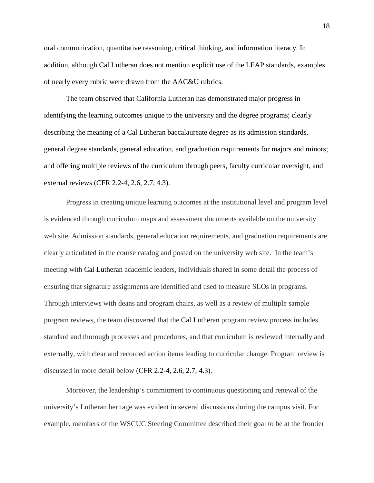oral communication, quantitative reasoning, critical thinking, and information literacy. In addition, although Cal Lutheran does not mention explicit use of the LEAP standards, examples of nearly every rubric were drawn from the AAC&U rubrics.

The team observed that California Lutheran has demonstrated major progress in identifying the learning outcomes unique to the university and the degree programs; clearly describing the meaning of a Cal Lutheran baccalaureate degree as its admission standards, general degree standards, general education, and graduation requirements for majors and minors; and offering multiple reviews of the curriculum through peers, faculty curricular oversight, and external reviews (CFR 2.2-4, 2.6, 2.7, 4.3).

Progress in creating unique learning outcomes at the institutional level and program level is evidenced through curriculum maps and assessment documents available on the university web site. Admission standards, general education requirements, and graduation requirements are clearly articulated in the course catalog and posted on the university web site. In the team's meeting with Cal Lutheran academic leaders, individuals shared in some detail the process of ensuring that signature assignments are identified and used to measure SLOs in programs. Through interviews with deans and program chairs, as well as a review of multiple sample program reviews, the team discovered that the Cal Lutheran program review process includes standard and thorough processes and procedures, and that curriculum is reviewed internally and externally, with clear and recorded action items leading to curricular change. Program review is discussed in more detail below (CFR 2.2-4, 2.6, 2.7, 4.3).

Moreover, the leadership's commitment to continuous questioning and renewal of the university's Lutheran heritage was evident in several discussions during the campus visit. For example, members of the WSCUC Steering Committee described their goal to be at the frontier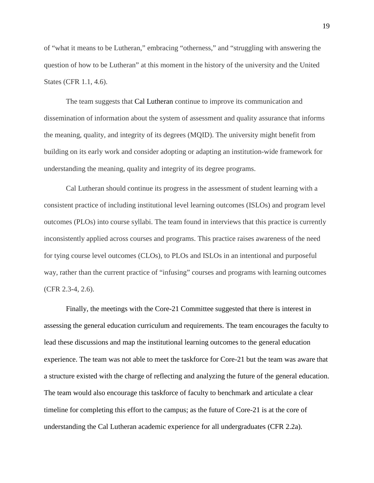of "what it means to be Lutheran," embracing "otherness," and "struggling with answering the question of how to be Lutheran" at this moment in the history of the university and the United States (CFR 1.1, 4.6).

The team suggests that Cal Lutheran continue to improve its communication and dissemination of information about the system of assessment and quality assurance that informs the meaning, quality, and integrity of its degrees (MQID). The university might benefit from building on its early work and consider adopting or adapting an institution-wide framework for understanding the meaning, quality and integrity of its degree programs.

Cal Lutheran should continue its progress in the assessment of student learning with a consistent practice of including institutional level learning outcomes (ISLOs) and program level outcomes (PLOs) into course syllabi. The team found in interviews that this practice is currently inconsistently applied across courses and programs. This practice raises awareness of the need for tying course level outcomes (CLOs), to PLOs and ISLOs in an intentional and purposeful way, rather than the current practice of "infusing" courses and programs with learning outcomes (CFR 2.3-4, 2.6).

Finally, the meetings with the Core-21 Committee suggested that there is interest in assessing the general education curriculum and requirements. The team encourages the faculty to lead these discussions and map the institutional learning outcomes to the general education experience. The team was not able to meet the taskforce for Core-21 but the team was aware that a structure existed with the charge of reflecting and analyzing the future of the general education. The team would also encourage this taskforce of faculty to benchmark and articulate a clear timeline for completing this effort to the campus; as the future of Core-21 is at the core of understanding the Cal Lutheran academic experience for all undergraduates (CFR 2.2a).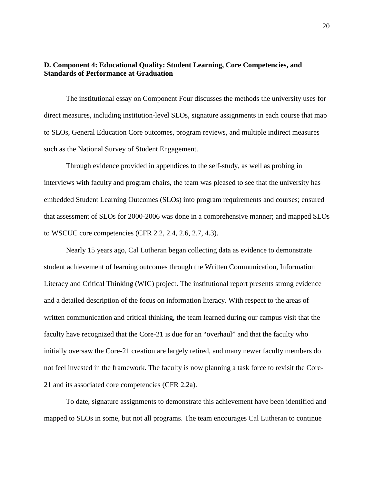# **D. Component 4: Educational Quality: Student Learning, Core Competencies, and Standards of Performance at Graduation**

The institutional essay on Component Four discusses the methods the university uses for direct measures, including institution-level SLOs, signature assignments in each course that map to SLOs, General Education Core outcomes, program reviews, and multiple indirect measures such as the National Survey of Student Engagement.

Through evidence provided in appendices to the self-study, as well as probing in interviews with faculty and program chairs, the team was pleased to see that the university has embedded Student Learning Outcomes (SLOs) into program requirements and courses; ensured that assessment of SLOs for 2000-2006 was done in a comprehensive manner; and mapped SLOs to WSCUC core competencies (CFR 2.2, 2.4, 2.6, 2.7, 4.3).

Nearly 15 years ago, Cal Lutheran began collecting data as evidence to demonstrate student achievement of learning outcomes through the Written Communication, Information Literacy and Critical Thinking (WIC) project. The institutional report presents strong evidence and a detailed description of the focus on information literacy. With respect to the areas of written communication and critical thinking, the team learned during our campus visit that the faculty have recognized that the Core-21 is due for an "overhaul" and that the faculty who initially oversaw the Core-21 creation are largely retired, and many newer faculty members do not feel invested in the framework. The faculty is now planning a task force to revisit the Core-21 and its associated core competencies (CFR 2.2a).

To date, signature assignments to demonstrate this achievement have been identified and mapped to SLOs in some, but not all programs. The team encourages Cal Lutheran to continue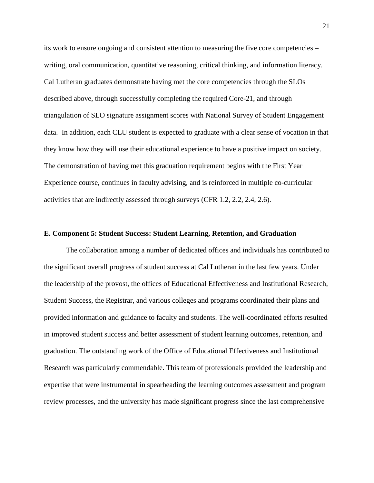its work to ensure ongoing and consistent attention to measuring the five core competencies – writing, oral communication, quantitative reasoning, critical thinking, and information literacy. Cal Lutheran graduates demonstrate having met the core competencies through the SLOs described above, through successfully completing the required Core-21, and through triangulation of SLO signature assignment scores with National Survey of Student Engagement data. In addition, each CLU student is expected to graduate with a clear sense of vocation in that they know how they will use their educational experience to have a positive impact on society. The demonstration of having met this graduation requirement begins with the First Year Experience course, continues in faculty advising, and is reinforced in multiple co-curricular activities that are indirectly assessed through surveys (CFR 1.2, 2.2, 2.4, 2.6).

#### **E. Component 5: Student Success: Student Learning, Retention, and Graduation**

The collaboration among a number of dedicated offices and individuals has contributed to the significant overall progress of student success at Cal Lutheran in the last few years. Under the leadership of the provost, the offices of Educational Effectiveness and Institutional Research, Student Success, the Registrar, and various colleges and programs coordinated their plans and provided information and guidance to faculty and students. The well-coordinated efforts resulted in improved student success and better assessment of student learning outcomes, retention, and graduation. The outstanding work of the Office of Educational Effectiveness and Institutional Research was particularly commendable. This team of professionals provided the leadership and expertise that were instrumental in spearheading the learning outcomes assessment and program review processes, and the university has made significant progress since the last comprehensive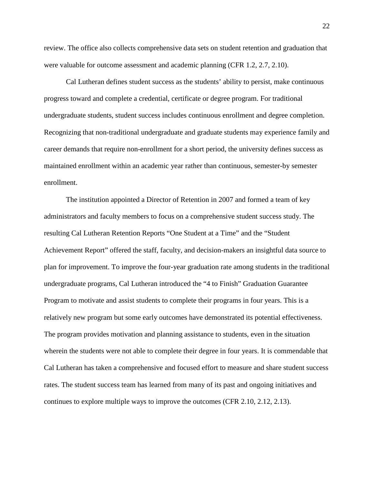review. The office also collects comprehensive data sets on student retention and graduation that were valuable for outcome assessment and academic planning (CFR 1.2, 2.7, 2.10).

Cal Lutheran defines student success as the students' ability to persist, make continuous progress toward and complete a credential, certificate or degree program. For traditional undergraduate students, student success includes continuous enrollment and degree completion. Recognizing that non-traditional undergraduate and graduate students may experience family and career demands that require non-enrollment for a short period, the university defines success as maintained enrollment within an academic year rather than continuous, semester-by semester enrollment.

The institution appointed a Director of Retention in 2007 and formed a team of key administrators and faculty members to focus on a comprehensive student success study. The resulting Cal Lutheran Retention Reports "One Student at a Time" and the "Student Achievement Report" offered the staff, faculty, and decision-makers an insightful data source to plan for improvement. To improve the four-year graduation rate among students in the traditional undergraduate programs, Cal Lutheran introduced the "4 to Finish" Graduation Guarantee Program to motivate and assist students to complete their programs in four years. This is a relatively new program but some early outcomes have demonstrated its potential effectiveness. The program provides motivation and planning assistance to students, even in the situation wherein the students were not able to complete their degree in four years. It is commendable that Cal Lutheran has taken a comprehensive and focused effort to measure and share student success rates. The student success team has learned from many of its past and ongoing initiatives and continues to explore multiple ways to improve the outcomes (CFR 2.10, 2.12, 2.13).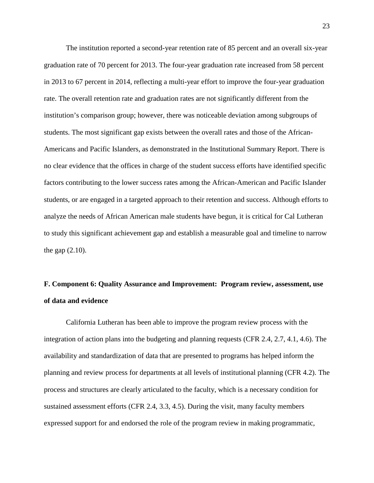The institution reported a second-year retention rate of 85 percent and an overall six-year graduation rate of 70 percent for 2013. The four-year graduation rate increased from 58 percent in 2013 to 67 percent in 2014, reflecting a multi-year effort to improve the four-year graduation rate. The overall retention rate and graduation rates are not significantly different from the institution's comparison group; however, there was noticeable deviation among subgroups of students. The most significant gap exists between the overall rates and those of the African-Americans and Pacific Islanders, as demonstrated in the Institutional Summary Report. There is no clear evidence that the offices in charge of the student success efforts have identified specific factors contributing to the lower success rates among the African-American and Pacific Islander students, or are engaged in a targeted approach to their retention and success. Although efforts to analyze the needs of African American male students have begun, it is critical for Cal Lutheran to study this significant achievement gap and establish a measurable goal and timeline to narrow the gap (2.10).

# **F. Component 6: Quality Assurance and Improvement: Program review, assessment, use of data and evidence**

California Lutheran has been able to improve the program review process with the integration of action plans into the budgeting and planning requests (CFR 2.4, 2.7, 4.1, 4.6). The availability and standardization of data that are presented to programs has helped inform the planning and review process for departments at all levels of institutional planning (CFR 4.2). The process and structures are clearly articulated to the faculty, which is a necessary condition for sustained assessment efforts (CFR 2.4, 3.3, 4.5). During the visit, many faculty members expressed support for and endorsed the role of the program review in making programmatic,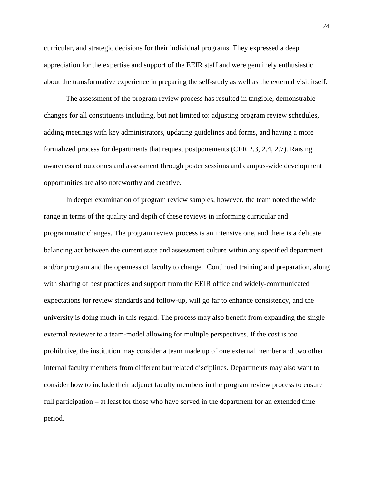curricular, and strategic decisions for their individual programs. They expressed a deep appreciation for the expertise and support of the EEIR staff and were genuinely enthusiastic about the transformative experience in preparing the self-study as well as the external visit itself.

The assessment of the program review process has resulted in tangible, demonstrable changes for all constituents including, but not limited to: adjusting program review schedules, adding meetings with key administrators, updating guidelines and forms, and having a more formalized process for departments that request postponements (CFR 2.3, 2.4, 2.7). Raising awareness of outcomes and assessment through poster sessions and campus-wide development opportunities are also noteworthy and creative.

In deeper examination of program review samples, however, the team noted the wide range in terms of the quality and depth of these reviews in informing curricular and programmatic changes. The program review process is an intensive one, and there is a delicate balancing act between the current state and assessment culture within any specified department and/or program and the openness of faculty to change. Continued training and preparation, along with sharing of best practices and support from the EEIR office and widely-communicated expectations for review standards and follow-up, will go far to enhance consistency, and the university is doing much in this regard. The process may also benefit from expanding the single external reviewer to a team-model allowing for multiple perspectives. If the cost is too prohibitive, the institution may consider a team made up of one external member and two other internal faculty members from different but related disciplines. Departments may also want to consider how to include their adjunct faculty members in the program review process to ensure full participation – at least for those who have served in the department for an extended time period.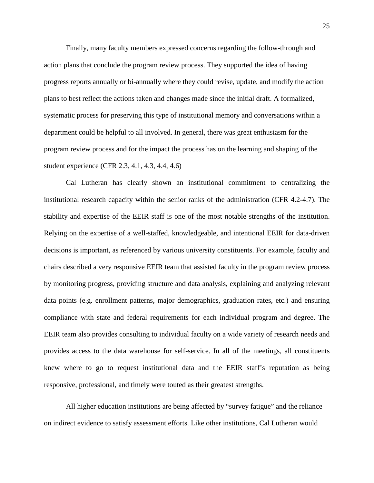Finally, many faculty members expressed concerns regarding the follow-through and action plans that conclude the program review process. They supported the idea of having progress reports annually or bi-annually where they could revise, update, and modify the action plans to best reflect the actions taken and changes made since the initial draft. A formalized, systematic process for preserving this type of institutional memory and conversations within a department could be helpful to all involved. In general, there was great enthusiasm for the program review process and for the impact the process has on the learning and shaping of the student experience (CFR 2.3, 4.1, 4.3, 4.4, 4.6)

Cal Lutheran has clearly shown an institutional commitment to centralizing the institutional research capacity within the senior ranks of the administration (CFR 4.2-4.7). The stability and expertise of the EEIR staff is one of the most notable strengths of the institution. Relying on the expertise of a well-staffed, knowledgeable, and intentional EEIR for data-driven decisions is important, as referenced by various university constituents. For example, faculty and chairs described a very responsive EEIR team that assisted faculty in the program review process by monitoring progress, providing structure and data analysis, explaining and analyzing relevant data points (e.g. enrollment patterns, major demographics, graduation rates, etc.) and ensuring compliance with state and federal requirements for each individual program and degree. The EEIR team also provides consulting to individual faculty on a wide variety of research needs and provides access to the data warehouse for self-service. In all of the meetings, all constituents knew where to go to request institutional data and the EEIR staff's reputation as being responsive, professional, and timely were touted as their greatest strengths.

All higher education institutions are being affected by "survey fatigue" and the reliance on indirect evidence to satisfy assessment efforts. Like other institutions, Cal Lutheran would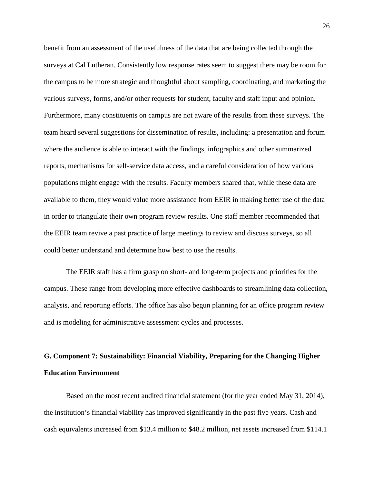benefit from an assessment of the usefulness of the data that are being collected through the surveys at Cal Lutheran. Consistently low response rates seem to suggest there may be room for the campus to be more strategic and thoughtful about sampling, coordinating, and marketing the various surveys, forms, and/or other requests for student, faculty and staff input and opinion. Furthermore, many constituents on campus are not aware of the results from these surveys. The team heard several suggestions for dissemination of results, including: a presentation and forum where the audience is able to interact with the findings, infographics and other summarized reports, mechanisms for self-service data access, and a careful consideration of how various populations might engage with the results. Faculty members shared that, while these data are available to them, they would value more assistance from EEIR in making better use of the data in order to triangulate their own program review results. One staff member recommended that the EEIR team revive a past practice of large meetings to review and discuss surveys, so all could better understand and determine how best to use the results.

The EEIR staff has a firm grasp on short- and long-term projects and priorities for the campus. These range from developing more effective dashboards to streamlining data collection, analysis, and reporting efforts. The office has also begun planning for an office program review and is modeling for administrative assessment cycles and processes.

# **G. Component 7: Sustainability: Financial Viability, Preparing for the Changing Higher Education Environment**

Based on the most recent audited financial statement (for the year ended May 31, 2014), the institution's financial viability has improved significantly in the past five years. Cash and cash equivalents increased from \$13.4 million to \$48.2 million, net assets increased from \$114.1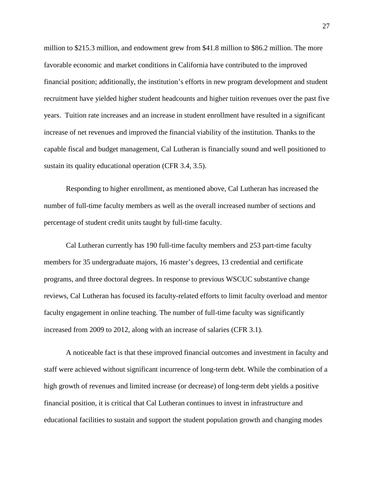million to \$215.3 million, and endowment grew from \$41.8 million to \$86.2 million. The more favorable economic and market conditions in California have contributed to the improved financial position; additionally, the institution's efforts in new program development and student recruitment have yielded higher student headcounts and higher tuition revenues over the past five years. Tuition rate increases and an increase in student enrollment have resulted in a significant increase of net revenues and improved the financial viability of the institution. Thanks to the capable fiscal and budget management, Cal Lutheran is financially sound and well positioned to sustain its quality educational operation (CFR 3.4, 3.5).

Responding to higher enrollment, as mentioned above, Cal Lutheran has increased the number of full-time faculty members as well as the overall increased number of sections and percentage of student credit units taught by full-time faculty.

Cal Lutheran currently has 190 full-time faculty members and 253 part-time faculty members for 35 undergraduate majors, 16 master's degrees, 13 credential and certificate programs, and three doctoral degrees. In response to previous WSCUC substantive change reviews, Cal Lutheran has focused its faculty-related efforts to limit faculty overload and mentor faculty engagement in online teaching. The number of full-time faculty was significantly increased from 2009 to 2012, along with an increase of salaries (CFR 3.1).

A noticeable fact is that these improved financial outcomes and investment in faculty and staff were achieved without significant incurrence of long-term debt. While the combination of a high growth of revenues and limited increase (or decrease) of long-term debt yields a positive financial position, it is critical that Cal Lutheran continues to invest in infrastructure and educational facilities to sustain and support the student population growth and changing modes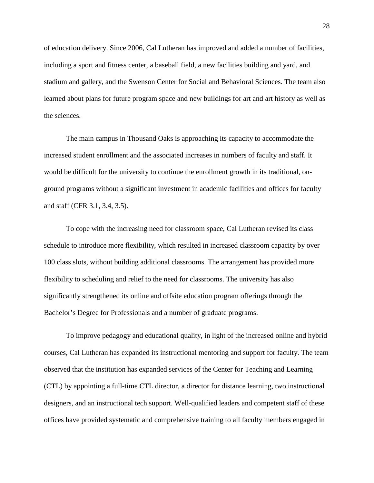of education delivery. Since 2006, Cal Lutheran has improved and added a number of facilities, including a sport and fitness center, a baseball field, a new facilities building and yard, and stadium and gallery, and the Swenson Center for Social and Behavioral Sciences. The team also learned about plans for future program space and new buildings for art and art history as well as the sciences.

The main campus in Thousand Oaks is approaching its capacity to accommodate the increased student enrollment and the associated increases in numbers of faculty and staff. It would be difficult for the university to continue the enrollment growth in its traditional, onground programs without a significant investment in academic facilities and offices for faculty and staff (CFR 3.1, 3.4, 3.5).

To cope with the increasing need for classroom space, Cal Lutheran revised its class schedule to introduce more flexibility, which resulted in increased classroom capacity by over 100 class slots, without building additional classrooms. The arrangement has provided more flexibility to scheduling and relief to the need for classrooms. The university has also significantly strengthened its online and offsite education program offerings through the Bachelor's Degree for Professionals and a number of graduate programs.

To improve pedagogy and educational quality, in light of the increased online and hybrid courses, Cal Lutheran has expanded its instructional mentoring and support for faculty. The team observed that the institution has expanded services of the Center for Teaching and Learning (CTL) by appointing a full-time CTL director, a director for distance learning, two instructional designers, and an instructional tech support. Well-qualified leaders and competent staff of these offices have provided systematic and comprehensive training to all faculty members engaged in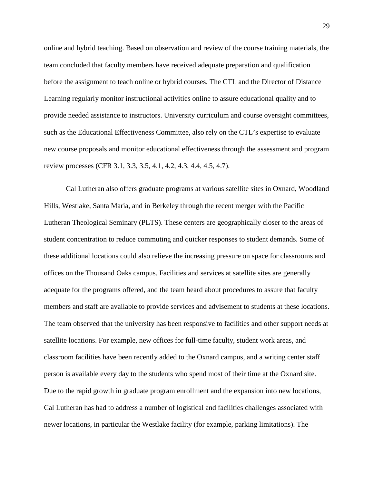online and hybrid teaching. Based on observation and review of the course training materials, the team concluded that faculty members have received adequate preparation and qualification before the assignment to teach online or hybrid courses. The CTL and the Director of Distance Learning regularly monitor instructional activities online to assure educational quality and to provide needed assistance to instructors. University curriculum and course oversight committees, such as the Educational Effectiveness Committee, also rely on the CTL's expertise to evaluate new course proposals and monitor educational effectiveness through the assessment and program review processes (CFR 3.1, 3.3, 3.5, 4.1, 4.2, 4.3, 4.4, 4.5, 4.7).

Cal Lutheran also offers graduate programs at various satellite sites in Oxnard, Woodland Hills, Westlake, Santa Maria, and in Berkeley through the recent merger with the Pacific Lutheran Theological Seminary (PLTS). These centers are geographically closer to the areas of student concentration to reduce commuting and quicker responses to student demands. Some of these additional locations could also relieve the increasing pressure on space for classrooms and offices on the Thousand Oaks campus. Facilities and services at satellite sites are generally adequate for the programs offered, and the team heard about procedures to assure that faculty members and staff are available to provide services and advisement to students at these locations. The team observed that the university has been responsive to facilities and other support needs at satellite locations. For example, new offices for full-time faculty, student work areas, and classroom facilities have been recently added to the Oxnard campus, and a writing center staff person is available every day to the students who spend most of their time at the Oxnard site. Due to the rapid growth in graduate program enrollment and the expansion into new locations, Cal Lutheran has had to address a number of logistical and facilities challenges associated with newer locations, in particular the Westlake facility (for example, parking limitations). The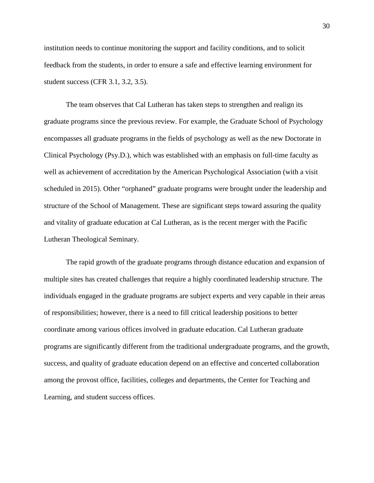institution needs to continue monitoring the support and facility conditions, and to solicit feedback from the students, in order to ensure a safe and effective learning environment for student success (CFR 3.1, 3.2, 3.5).

The team observes that Cal Lutheran has taken steps to strengthen and realign its graduate programs since the previous review. For example, the Graduate School of Psychology encompasses all graduate programs in the fields of psychology as well as the new Doctorate in Clinical Psychology (Psy.D.), which was established with an emphasis on full-time faculty as well as achievement of accreditation by the American Psychological Association (with a visit scheduled in 2015). Other "orphaned" graduate programs were brought under the leadership and structure of the School of Management. These are significant steps toward assuring the quality and vitality of graduate education at Cal Lutheran, as is the recent merger with the Pacific Lutheran Theological Seminary.

The rapid growth of the graduate programs through distance education and expansion of multiple sites has created challenges that require a highly coordinated leadership structure. The individuals engaged in the graduate programs are subject experts and very capable in their areas of responsibilities; however, there is a need to fill critical leadership positions to better coordinate among various offices involved in graduate education. Cal Lutheran graduate programs are significantly different from the traditional undergraduate programs, and the growth, success, and quality of graduate education depend on an effective and concerted collaboration among the provost office, facilities, colleges and departments, the Center for Teaching and Learning, and student success offices.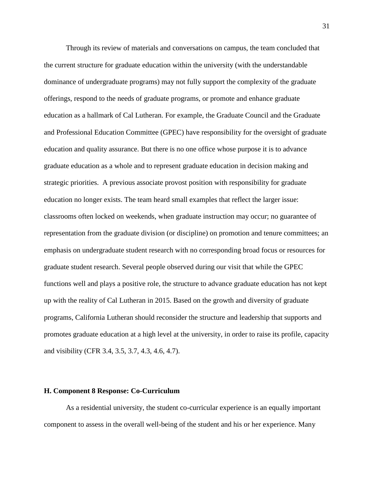Through its review of materials and conversations on campus, the team concluded that the current structure for graduate education within the university (with the understandable dominance of undergraduate programs) may not fully support the complexity of the graduate offerings, respond to the needs of graduate programs, or promote and enhance graduate education as a hallmark of Cal Lutheran. For example, the Graduate Council and the Graduate and Professional Education Committee (GPEC) have responsibility for the oversight of graduate education and quality assurance. But there is no one office whose purpose it is to advance graduate education as a whole and to represent graduate education in decision making and strategic priorities. A previous associate provost position with responsibility for graduate education no longer exists. The team heard small examples that reflect the larger issue: classrooms often locked on weekends, when graduate instruction may occur; no guarantee of representation from the graduate division (or discipline) on promotion and tenure committees; an emphasis on undergraduate student research with no corresponding broad focus or resources for graduate student research. Several people observed during our visit that while the GPEC functions well and plays a positive role, the structure to advance graduate education has not kept up with the reality of Cal Lutheran in 2015. Based on the growth and diversity of graduate programs, California Lutheran should reconsider the structure and leadership that supports and promotes graduate education at a high level at the university, in order to raise its profile, capacity and visibility (CFR 3.4, 3.5, 3.7, 4.3, 4.6, 4.7).

### **H. Component 8 Response: Co-Curriculum**

As a residential university, the student co-curricular experience is an equally important component to assess in the overall well-being of the student and his or her experience. Many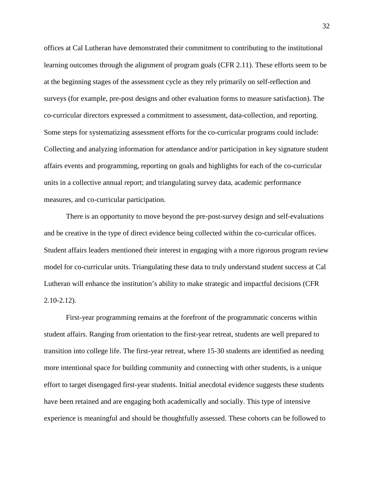offices at Cal Lutheran have demonstrated their commitment to contributing to the institutional learning outcomes through the alignment of program goals (CFR 2.11). These efforts seem to be at the beginning stages of the assessment cycle as they rely primarily on self-reflection and surveys (for example, pre-post designs and other evaluation forms to measure satisfaction). The co-curricular directors expressed a commitment to assessment, data-collection, and reporting. Some steps for systematizing assessment efforts for the co-curricular programs could include: Collecting and analyzing information for attendance and/or participation in key signature student affairs events and programming, reporting on goals and highlights for each of the co-curricular units in a collective annual report; and triangulating survey data, academic performance measures, and co-curricular participation.

There is an opportunity to move beyond the pre-post-survey design and self-evaluations and be creative in the type of direct evidence being collected within the co-curricular offices. Student affairs leaders mentioned their interest in engaging with a more rigorous program review model for co-curricular units. Triangulating these data to truly understand student success at Cal Lutheran will enhance the institution's ability to make strategic and impactful decisions (CFR 2.10-2.12).

First-year programming remains at the forefront of the programmatic concerns within student affairs. Ranging from orientation to the first-year retreat, students are well prepared to transition into college life. The first-year retreat, where 15-30 students are identified as needing more intentional space for building community and connecting with other students, is a unique effort to target disengaged first-year students. Initial anecdotal evidence suggests these students have been retained and are engaging both academically and socially. This type of intensive experience is meaningful and should be thoughtfully assessed. These cohorts can be followed to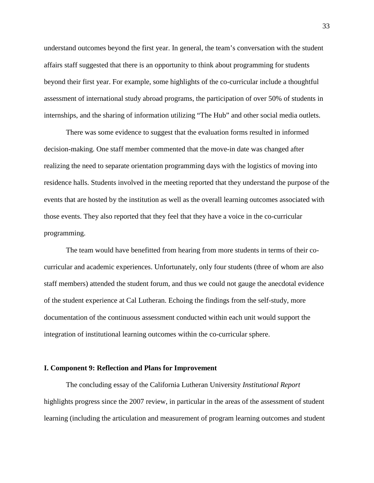understand outcomes beyond the first year. In general, the team's conversation with the student affairs staff suggested that there is an opportunity to think about programming for students beyond their first year. For example, some highlights of the co-curricular include a thoughtful assessment of international study abroad programs, the participation of over 50% of students in internships, and the sharing of information utilizing "The Hub" and other social media outlets.

There was some evidence to suggest that the evaluation forms resulted in informed decision-making. One staff member commented that the move-in date was changed after realizing the need to separate orientation programming days with the logistics of moving into residence halls. Students involved in the meeting reported that they understand the purpose of the events that are hosted by the institution as well as the overall learning outcomes associated with those events. They also reported that they feel that they have a voice in the co-curricular programming.

The team would have benefitted from hearing from more students in terms of their cocurricular and academic experiences. Unfortunately, only four students (three of whom are also staff members) attended the student forum, and thus we could not gauge the anecdotal evidence of the student experience at Cal Lutheran. Echoing the findings from the self-study, more documentation of the continuous assessment conducted within each unit would support the integration of institutional learning outcomes within the co-curricular sphere.

### **I. Component 9: Reflection and Plans for Improvement**

The concluding essay of the California Lutheran University *Institutional Report* highlights progress since the 2007 review, in particular in the areas of the assessment of student learning (including the articulation and measurement of program learning outcomes and student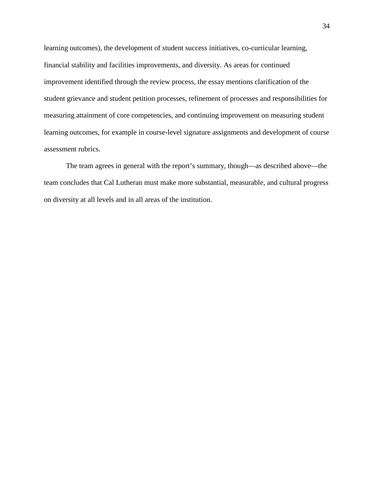learning outcomes), the development of student success initiatives, co-curricular learning, financial stability and facilities improvements, and diversity. As areas for continued improvement identified through the review process, the essay mentions clarification of the student grievance and student petition processes, refinement of processes and responsibilities for measuring attainment of core competencies, and continuing improvement on measuring student learning outcomes, for example in course-level signature assignments and development of course assessment rubrics.

The team agrees in general with the report's summary, though—as described above—the team concludes that Cal Lutheran must make more substantial, measurable, and cultural progress on diversity at all levels and in all areas of the institution.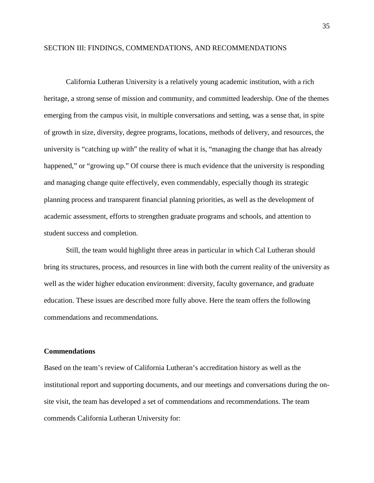#### SECTION III: FINDINGS, COMMENDATIONS, AND RECOMMENDATIONS

California Lutheran University is a relatively young academic institution, with a rich heritage, a strong sense of mission and community, and committed leadership. One of the themes emerging from the campus visit, in multiple conversations and setting, was a sense that, in spite of growth in size, diversity, degree programs, locations, methods of delivery, and resources, the university is "catching up with" the reality of what it is, "managing the change that has already happened," or "growing up." Of course there is much evidence that the university is responding and managing change quite effectively, even commendably, especially though its strategic planning process and transparent financial planning priorities, as well as the development of academic assessment, efforts to strengthen graduate programs and schools, and attention to student success and completion.

Still, the team would highlight three areas in particular in which Cal Lutheran should bring its structures, process, and resources in line with both the current reality of the university as well as the wider higher education environment: diversity, faculty governance, and graduate education. These issues are described more fully above. Here the team offers the following commendations and recommendations.

#### **Commendations**

Based on the team's review of California Lutheran's accreditation history as well as the institutional report and supporting documents, and our meetings and conversations during the onsite visit, the team has developed a set of commendations and recommendations. The team commends California Lutheran University for:

35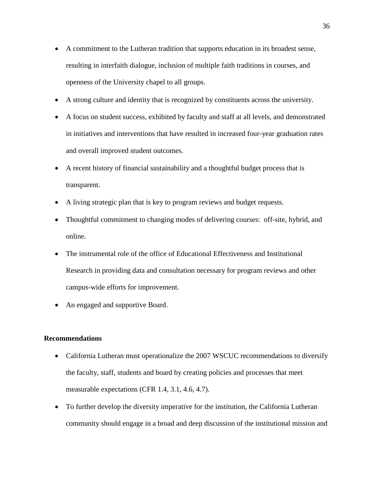- A commitment to the Lutheran tradition that supports education in its broadest sense, resulting in interfaith dialogue, inclusion of multiple faith traditions in courses, and openness of the University chapel to all groups.
- A strong culture and identity that is recognized by constituents across the university.
- A focus on student success, exhibited by faculty and staff at all levels, and demonstrated in initiatives and interventions that have resulted in increased four-year graduation rates and overall improved student outcomes.
- A recent history of financial sustainability and a thoughtful budget process that is transparent.
- A living strategic plan that is key to program reviews and budget requests.
- Thoughtful commitment to changing modes of delivering courses: off-site, hybrid, and online.
- The instrumental role of the office of Educational Effectiveness and Institutional Research in providing data and consultation necessary for program reviews and other campus-wide efforts for improvement.
- An engaged and supportive Board.

### **Recommendations**

- California Lutheran must operationalize the 2007 WSCUC recommendations to diversify the faculty, staff, students and board by creating policies and processes that meet measurable expectations (CFR 1.4, 3.1, 4.6, 4.7).
- To further develop the diversity imperative for the institution, the California Lutheran community should engage in a broad and deep discussion of the institutional mission and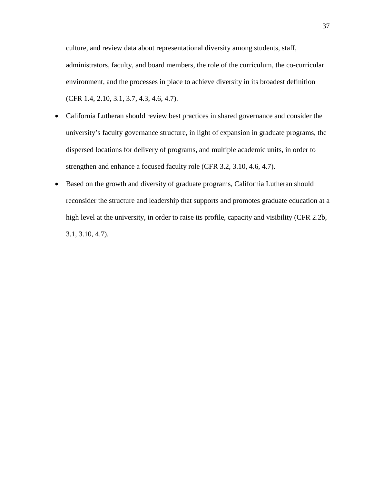culture, and review data about representational diversity among students, staff, administrators, faculty, and board members, the role of the curriculum, the co-curricular environment, and the processes in place to achieve diversity in its broadest definition (CFR 1.4, 2.10, 3.1, 3.7, 4.3, 4.6, 4.7).

- California Lutheran should review best practices in shared governance and consider the university's faculty governance structure, in light of expansion in graduate programs, the dispersed locations for delivery of programs, and multiple academic units, in order to strengthen and enhance a focused faculty role (CFR 3.2, 3.10, 4.6, 4.7).
- Based on the growth and diversity of graduate programs, California Lutheran should reconsider the structure and leadership that supports and promotes graduate education at a high level at the university, in order to raise its profile, capacity and visibility (CFR 2.2b, 3.1, 3.10, 4.7).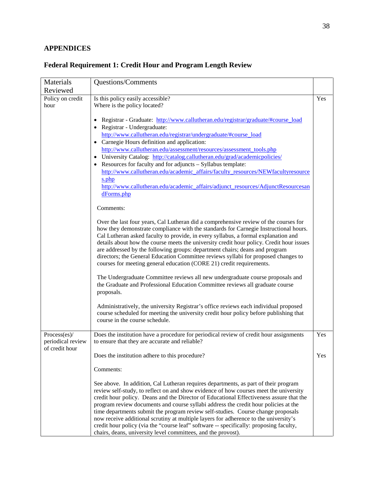# **APPENDICES**

# **Federal Requirement 1: Credit Hour and Program Length Review**

| Questions/Comments                                                                                                                                                            |     |
|-------------------------------------------------------------------------------------------------------------------------------------------------------------------------------|-----|
| Reviewed                                                                                                                                                                      |     |
| Policy on credit<br>Is this policy easily accessible?                                                                                                                         | Yes |
| hour<br>Where is the policy located?                                                                                                                                          |     |
|                                                                                                                                                                               |     |
| Registrar - Graduate: http://www.callutheran.edu/registrar/graduate/#course_load                                                                                              |     |
| • Registrar - Undergraduate:                                                                                                                                                  |     |
| http://www.callutheran.edu/registrar/undergraduate/#course_load                                                                                                               |     |
| • Carnegie Hours definition and application:<br>http://www.callutheran.edu/assessment/resources/assessment_tools.php                                                          |     |
| University Catalog: http://catalog.callutheran.edu/grad/academicpolicies/                                                                                                     |     |
| Resources for faculty and for adjuncts – Syllabus template:                                                                                                                   |     |
| http://www.callutheran.edu/academic_affairs/faculty_resources/NEWfacultyresource                                                                                              |     |
| s.php                                                                                                                                                                         |     |
| http://www.callutheran.edu/academic affairs/adjunct resources/AdjunctResourcesan                                                                                              |     |
| dForms.php                                                                                                                                                                    |     |
|                                                                                                                                                                               |     |
| Comments:                                                                                                                                                                     |     |
| Over the last four years, Cal Lutheran did a comprehensive review of the courses for                                                                                          |     |
| how they demonstrate compliance with the standards for Carnegie Instructional hours.                                                                                          |     |
| Cal Lutheran asked faculty to provide, in every syllabus, a formal explanation and                                                                                            |     |
| details about how the course meets the university credit hour policy. Credit hour issues                                                                                      |     |
| are addressed by the following groups: department chairs; deans and program                                                                                                   |     |
| directors; the General Education Committee reviews syllabi for proposed changes to                                                                                            |     |
| courses for meeting general education (CORE 21) credit requirements.                                                                                                          |     |
| The Undergraduate Committee reviews all new undergraduate course proposals and                                                                                                |     |
| the Graduate and Professional Education Committee reviews all graduate course                                                                                                 |     |
| proposals.                                                                                                                                                                    |     |
|                                                                                                                                                                               |     |
| Administratively, the university Registrar's office reviews each individual proposed                                                                                          |     |
| course scheduled for meeting the university credit hour policy before publishing that                                                                                         |     |
| course in the course schedule.                                                                                                                                                |     |
|                                                                                                                                                                               | Yes |
| Process(es)/<br>Does the institution have a procedure for periodical review of credit hour assignments<br>periodical review<br>to ensure that they are accurate and reliable? |     |
| of credit hour                                                                                                                                                                |     |
| Does the institution adhere to this procedure?                                                                                                                                | Yes |
|                                                                                                                                                                               |     |
| Comments:                                                                                                                                                                     |     |
| See above. In addition, Cal Lutheran requires departments, as part of their program                                                                                           |     |
| review self-study, to reflect on and show evidence of how courses meet the university                                                                                         |     |
| credit hour policy. Deans and the Director of Educational Effectiveness assure that the                                                                                       |     |
| program review documents and course syllabi address the credit hour policies at the                                                                                           |     |
| time departments submit the program review self-studies. Course change proposals                                                                                              |     |
| now receive additional scrutiny at multiple layers for adherence to the university's                                                                                          |     |
| credit hour policy (via the "course leaf" software -- specifically: proposing faculty,<br>chairs, deans, university level committees, and the provost).                       |     |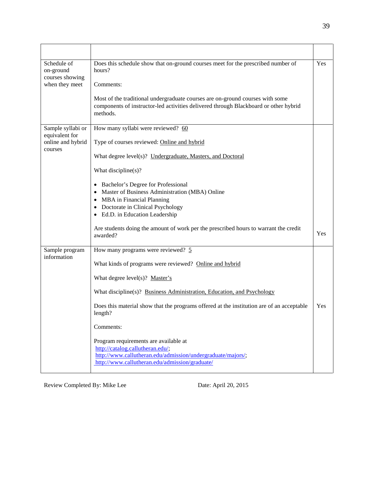| Schedule of<br>on-ground<br>courses showing<br>when they meet | Does this schedule show that on-ground courses meet for the prescribed number of<br>hours?<br>Comments:<br>Most of the traditional undergraduate courses are on-ground courses with some<br>components of instructor-led activities delivered through Blackboard or other hybrid<br>methods. | Yes |
|---------------------------------------------------------------|----------------------------------------------------------------------------------------------------------------------------------------------------------------------------------------------------------------------------------------------------------------------------------------------|-----|
| Sample syllabi or                                             | How many syllabi were reviewed? 60                                                                                                                                                                                                                                                           |     |
| equivalent for<br>online and hybrid                           | Type of courses reviewed: Online and hybrid                                                                                                                                                                                                                                                  |     |
| courses                                                       | What degree level(s)? Undergraduate, Masters, and Doctoral                                                                                                                                                                                                                                   |     |
|                                                               | What discipline(s)?                                                                                                                                                                                                                                                                          |     |
|                                                               | • Bachelor's Degree for Professional<br>• Master of Business Administration (MBA) Online<br>• MBA in Financial Planning<br>• Doctorate in Clinical Psychology<br>• Ed.D. in Education Leadership                                                                                             |     |
|                                                               | Are students doing the amount of work per the prescribed hours to warrant the credit<br>awarded?                                                                                                                                                                                             | Yes |
| Sample program<br>information                                 | How many programs were reviewed? 5                                                                                                                                                                                                                                                           |     |
|                                                               | What kinds of programs were reviewed? Online and hybrid                                                                                                                                                                                                                                      |     |
|                                                               | What degree $level(s)?$ Master's                                                                                                                                                                                                                                                             |     |
|                                                               | What discipline(s)? Business Administration, Education, and Psychology                                                                                                                                                                                                                       |     |
|                                                               | Does this material show that the programs offered at the institution are of an acceptable<br>length?                                                                                                                                                                                         | Yes |
|                                                               | Comments:                                                                                                                                                                                                                                                                                    |     |
|                                                               | Program requirements are available at<br>http://catalog.callutheran.edu/;<br>http://www.callutheran.edu/admission/undergraduate/majors/;<br>http://www.callutheran.edu/admission/graduate/                                                                                                   |     |

Review Completed By: Mike Lee Date: April 20, 2015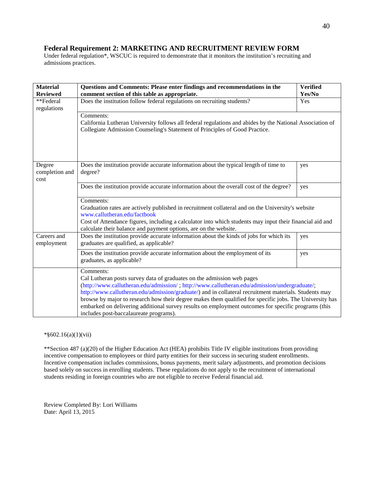# **Federal Requirement 2: MARKETING AND RECRUITMENT REVIEW FORM**

Under federal regulation\*, WSCUC is required to demonstrate that it monitors the institution's recruiting and admissions practices.

| <b>Material</b><br><b>Reviewed</b> | Questions and Comments: Please enter findings and recommendations in the<br>comment section of this table as appropriate.                                                                                                                                                                                                                                                                                                                                                                                                                                | <b>Verified</b><br>Yes/No |
|------------------------------------|----------------------------------------------------------------------------------------------------------------------------------------------------------------------------------------------------------------------------------------------------------------------------------------------------------------------------------------------------------------------------------------------------------------------------------------------------------------------------------------------------------------------------------------------------------|---------------------------|
| **Federal<br>regulations           | Does the institution follow federal regulations on recruiting students?                                                                                                                                                                                                                                                                                                                                                                                                                                                                                  | Yes                       |
|                                    | Comments:<br>California Lutheran University follows all federal regulations and abides by the National Association of<br>Collegiate Admission Counseling's Statement of Principles of Good Practice.                                                                                                                                                                                                                                                                                                                                                     |                           |
| Degree<br>completion and<br>cost   | Does the institution provide accurate information about the typical length of time to<br>degree?                                                                                                                                                                                                                                                                                                                                                                                                                                                         | yes                       |
|                                    | Does the institution provide accurate information about the overall cost of the degree?                                                                                                                                                                                                                                                                                                                                                                                                                                                                  | yes                       |
|                                    | Comments:<br>Graduation rates are actively published in recruitment collateral and on the University's website<br>www.callutheran.edu/factbook<br>Cost of Attendance figures, including a calculator into which students may input their financial aid and<br>calculate their balance and payment options, are on the website.                                                                                                                                                                                                                           |                           |
| Careers and<br>employment          | Does the institution provide accurate information about the kinds of jobs for which its<br>graduates are qualified, as applicable?                                                                                                                                                                                                                                                                                                                                                                                                                       | yes                       |
|                                    | Does the institution provide accurate information about the employment of its<br>graduates, as applicable?                                                                                                                                                                                                                                                                                                                                                                                                                                               | yes                       |
|                                    | Comments:<br>Cal Lutheran posts survey data of graduates on the admission web pages<br>(http://www.callutheran.edu/admission/; http://www.callutheran.edu/admission/undergraduate/;<br>http://www.callutheran.edu/admission/graduate/) and in collateral recruitment materials. Students may<br>browse by major to research how their degree makes them qualified for specific jobs. The University has<br>embarked on delivering additional survey results on employment outcomes for specific programs (this<br>includes post-baccalaureate programs). |                           |

#### \*§602.16(a)(1)(vii)

\*\*Section 487 (a)(20) of the Higher Education Act (HEA) prohibits Title IV eligible institutions from providing incentive compensation to employees or third party entities for their success in securing student enrollments. Incentive compensation includes commissions, bonus payments, merit salary adjustments, and promotion decisions based solely on success in enrolling students. These regulations do not apply to the recruitment of international students residing in foreign countries who are not eligible to receive Federal financial aid.

Review Completed By: Lori Williams Date: April 13, 2015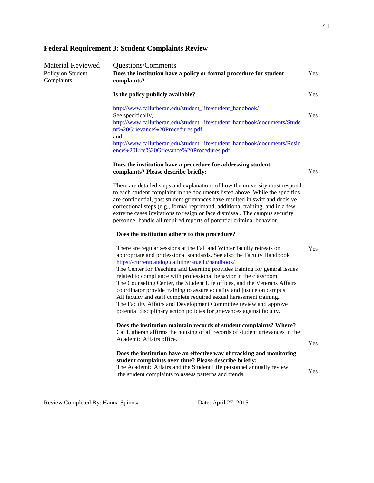# **Federal Requirement 3: Student Complaints Review**

| <b>Material Reviewed</b> | <b>Questions/Comments</b>                                                                                                                                                                                                                                                                                                                                                                                                                                                                                                                                                                                                                                                                                                       |     |
|--------------------------|---------------------------------------------------------------------------------------------------------------------------------------------------------------------------------------------------------------------------------------------------------------------------------------------------------------------------------------------------------------------------------------------------------------------------------------------------------------------------------------------------------------------------------------------------------------------------------------------------------------------------------------------------------------------------------------------------------------------------------|-----|
| Policy on Student        | Does the institution have a policy or formal procedure for student                                                                                                                                                                                                                                                                                                                                                                                                                                                                                                                                                                                                                                                              |     |
| Complaints               | complaints?                                                                                                                                                                                                                                                                                                                                                                                                                                                                                                                                                                                                                                                                                                                     |     |
|                          | Is the policy publicly available?                                                                                                                                                                                                                                                                                                                                                                                                                                                                                                                                                                                                                                                                                               | Yes |
|                          | http://www.callutheran.edu/student_life/student_handbook/<br>See specifically,<br>http://www.callutheran.edu/student_life/student_handbook/documents/Stude<br>nt%20Grievance%20Procedures.pdf<br>and<br>http://www.callutheran.edu/student_life/student_handbook/documents/Resid<br>ence%20Life%20Grievance%20Procedures.pdf                                                                                                                                                                                                                                                                                                                                                                                                    | Yes |
|                          | Does the institution have a procedure for addressing student<br>complaints? Please describe briefly:                                                                                                                                                                                                                                                                                                                                                                                                                                                                                                                                                                                                                            | Yes |
|                          | There are detailed steps and explanations of how the university must respond<br>to each student complaint in the documents listed above. While the specifics<br>are confidential, past student grievances have resulted in swift and decisive<br>correctional steps (e.g., formal reprimand, additional training, and in a few<br>extreme cases invitations to resign or face dismissal. The campus security<br>personnel handle all required reports of potential criminal behavior.                                                                                                                                                                                                                                           |     |
|                          | Does the institution adhere to this procedure?                                                                                                                                                                                                                                                                                                                                                                                                                                                                                                                                                                                                                                                                                  |     |
|                          | There are regular sessions at the Fall and Winter faculty retreats on<br>appropriate and professional standards. See also the Faculty Handbook<br>https://currentcatalog.callutheran.edu/handbook/<br>The Center for Teaching and Learning provides training for general issues<br>related to compliance with professional behavior in the classroom<br>The Counseling Center, the Student Life offices, and the Veterans Affairs<br>coordinator provide training to assure equality and justice on campus<br>All faculty and staff complete required sexual harassment training.<br>The Faculty Affairs and Development Committee review and approve<br>potential disciplinary action policies for grievances against faculty. | Yes |
|                          | Does the institution maintain records of student complaints? Where?<br>Cal Lutheran affirms the housing of all records of student grievances in the<br>Academic Affairs office.                                                                                                                                                                                                                                                                                                                                                                                                                                                                                                                                                 | Yes |
|                          | Does the institution have an effective way of tracking and monitoring<br>student complaints over time? Please describe briefly:<br>The Academic Affairs and the Student Life personnel annually review<br>the student complaints to assess patterns and trends.                                                                                                                                                                                                                                                                                                                                                                                                                                                                 | Yes |

Review Completed By: Hanna Spinosa Date: April 27, 2015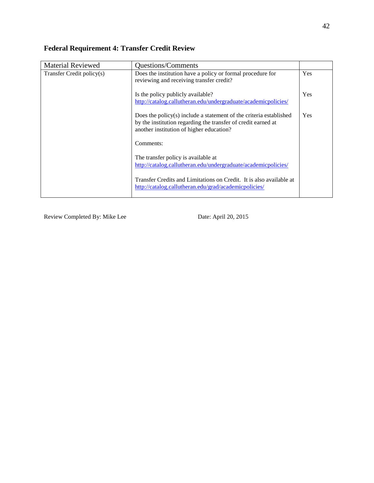# **Federal Requirement 4: Transfer Credit Review**

| <b>Material Reviewed</b>  | Questions/Comments                                                                                                                                                                 |            |
|---------------------------|------------------------------------------------------------------------------------------------------------------------------------------------------------------------------------|------------|
| Transfer Credit policy(s) | Does the institution have a policy or formal procedure for<br>reviewing and receiving transfer credit?                                                                             | Yes        |
|                           | Is the policy publicly available?<br>http://catalog.callutheran.edu/undergraduate/academicpolicies/                                                                                | <b>Yes</b> |
|                           | Does the policy $(s)$ include a statement of the criteria established<br>by the institution regarding the transfer of credit earned at<br>another institution of higher education? | <b>Yes</b> |
|                           | Comments:                                                                                                                                                                          |            |
|                           | The transfer policy is available at                                                                                                                                                |            |
|                           | http://catalog.callutheran.edu/undergraduate/academicpolicies/                                                                                                                     |            |
|                           | Transfer Credits and Limitations on Credit. It is also available at<br>http://catalog.callutheran.edu/grad/academicpolicies/                                                       |            |

Review Completed By: Mike Lee Date: April 20, 2015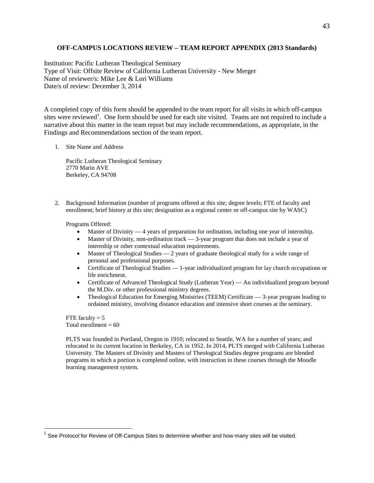#### **OFF-CAMPUS LOCATIONS REVIEW – TEAM REPORT APPENDIX (2013 Standards)**

Institution: Pacific Lutheran Theological Seminary Type of Visit: Offsite Review of California Lutheran University - New Merger Name of reviewer/s: Mike Lee & Lori Williams Date/s of review: December 3, 2014

A completed copy of this form should be appended to the team report for all visits in which off-campus sites were reviewed<sup>[1](#page-43-0)</sup>. One form should be used for each site visited. Teams are not required to include a narrative about this matter in the team report but may include recommendations, as appropriate, in the Findings and Recommendations section of the team report.

1. Site Name and Address

Pacific Lutheran Theological Seminary 2770 Marin AVE Berkeley, CA 94708

2. Background Information (number of programs offered at this site; degree levels; FTE of faculty and enrollment; brief history at this site; designation as a regional center or off-campus site by WASC)

Programs Offered:

- Master of Divinity 4 years of preparation for ordination, including one year of internship.
- Master of Divinity, non-ordination track 3-year program that does not include a year of internship or other contextual education requirements.
- Master of Theological Studies 2 years of graduate theological study for a wide range of personal and professional purposes.
- Certificate of Theological Studies 1-year individualized program for lay church occupations or life enrichment.
- Certificate of Advanced Theological Study (Lutheran Year) An individualized program beyond the M.Div. or other professional ministry degrees.
- Theological Education for Emerging Ministries (TEEM) Certificate 3-year program leading to ordained ministry, involving distance education and intensive short courses at the seminary.

FTE faculty  $= 5$ Total enrollment  $= 60$ 

PLTS was founded in Portland, Oregon in 1910; relocated to Seattle, WA for a number of years; and relocated to its current location in Berkeley, CA in 1952. In 2014, PLTS merged with California Lutheran University. The Masters of Divinity and Masters of Theological Studies degree programs are blended programs in which a portion is completed online, with instruction in these courses through the Moodle learning management system.

<span id="page-43-0"></span> $1$  See Protocol for Review of Off-Campus Sites to determine whether and how many sites will be visited.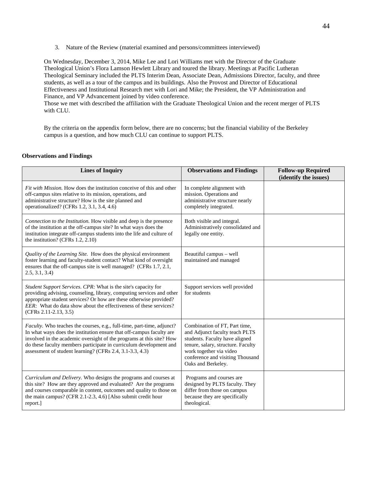3. Nature of the Review (material examined and persons/committees interviewed)

On Wednesday, December 3, 2014, Mike Lee and Lori Williams met with the Director of the Graduate Theological Union's Flora Lamson Hewlett Library and toured the library. Meetings at Pacific Lutheran Theological Seminary included the PLTS Interim Dean, Associate Dean, Admissions Director, faculty, and three students, as well as a tour of the campus and its buildings. Also the Provost and Director of Educational Effectiveness and Institutional Research met with Lori and Mike; the President, the VP Administration and Finance, and VP Advancement joined by video conference.

Those we met with described the affiliation with the Graduate Theological Union and the recent merger of PLTS with CLU.

By the criteria on the appendix form below, there are no concerns; but the financial viability of the Berkeley campus is a question, and how much CLU can continue to support PLTS.

#### **Observations and Findings**

| <b>Lines of Inquiry</b>                                                                                                                                                                                                                                                                                                                                  | <b>Observations and Findings</b>                                                                                                                                                                                             | <b>Follow-up Required</b><br>(identify the issues) |
|----------------------------------------------------------------------------------------------------------------------------------------------------------------------------------------------------------------------------------------------------------------------------------------------------------------------------------------------------------|------------------------------------------------------------------------------------------------------------------------------------------------------------------------------------------------------------------------------|----------------------------------------------------|
| <i>Fit with Mission.</i> How does the institution conceive of this and other<br>off-campus sites relative to its mission, operations, and<br>administrative structure? How is the site planned and<br>operationalized? (CFRs 1.2, 3.1, 3.4, 4.6)                                                                                                         | In complete alignment with<br>mission. Operations and<br>administrative structure nearly<br>completely integrated.                                                                                                           |                                                    |
| <i>Connection to the Institution.</i> How visible and deep is the presence<br>of the institution at the off-campus site? In what ways does the<br>institution integrate off-campus students into the life and culture of<br>the institution? (CFRs 1.2, 2.10)                                                                                            | Both visible and integral.<br>Administratively consolidated and<br>legally one entity.                                                                                                                                       |                                                    |
| Quality of the Learning Site. How does the physical environment<br>foster learning and faculty-student contact? What kind of oversight<br>ensures that the off-campus site is well managed? (CFRs 1.7, 2.1,<br>2.5, 3.1, 3.4                                                                                                                             | Beautiful campus - well<br>maintained and managed                                                                                                                                                                            |                                                    |
| Student Support Services. CPR: What is the site's capacity for<br>providing advising, counseling, library, computing services and other<br>appropriate student services? Or how are these otherwise provided?<br><i>EER</i> : What do data show about the effectiveness of these services?<br>$(CFRs 2.11-2.13, 3.5)$                                    | Support services well provided<br>for students                                                                                                                                                                               |                                                    |
| Faculty. Who teaches the courses, e.g., full-time, part-time, adjunct?<br>In what ways does the institution ensure that off-campus faculty are<br>involved in the academic oversight of the programs at this site? How<br>do these faculty members participate in curriculum development and<br>assessment of student learning? (CFRs 2.4, 3.1-3.3, 4.3) | Combination of FT, Part time,<br>and Adjunct faculty teach PLTS<br>students. Faculty have aligned<br>tenure, salary, structure. Faculty<br>work together via video<br>conference and visiting Thousand<br>Oaks and Berkeley. |                                                    |
| Curriculum and Delivery. Who designs the programs and courses at<br>this site? How are they approved and evaluated? Are the programs<br>and courses comparable in content, outcomes and quality to those on<br>the main campus? (CFR 2.1-2.3, 4.6) [Also submit credit hour<br>report.]                                                                  | Programs and courses are<br>designed by PLTS faculty. They<br>differ from those on campus<br>because they are specifically<br>theological.                                                                                   |                                                    |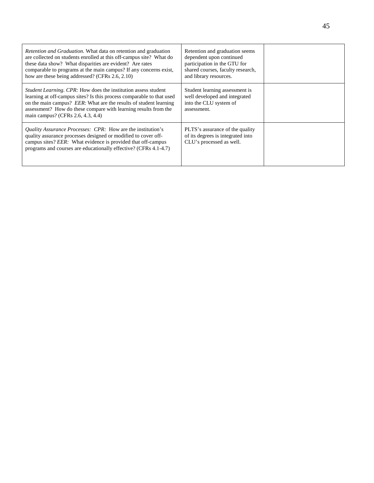| <i>Retention and Graduation.</i> What data on retention and graduation<br>are collected on students enrolled at this off-campus site? What do<br>these data show? What disparities are evident? Are rates<br>comparable to programs at the main campus? If any concerns exist,<br>how are these being addressed? (CFRs 2.6, 2.10) | Retention and graduation seems<br>dependent upon continued<br>participation in the GTU for<br>shared courses, faculty research,<br>and library resources. |  |
|-----------------------------------------------------------------------------------------------------------------------------------------------------------------------------------------------------------------------------------------------------------------------------------------------------------------------------------|-----------------------------------------------------------------------------------------------------------------------------------------------------------|--|
| <i>Student Learning. CPR:</i> How does the institution assess student<br>learning at off-campus sites? Is this process comparable to that used<br>on the main campus? EER: What are the results of student learning<br>assessment? How do these compare with learning results from the<br>main campus? (CFRs 2.6, 4.3, 4.4)       | Student learning assessment is<br>well developed and integrated<br>into the CLU system of<br>assessment.                                                  |  |
| <i>Quality Assurance Processes: CPR:</i> How are the institution's<br>quality assurance processes designed or modified to cover off-<br>campus sites? EER: What evidence is provided that off-campus<br>programs and courses are educationally effective? (CFRs 4.1-4.7)                                                          | PLTS's assurance of the quality<br>of its degrees is integrated into<br>CLU's processed as well.                                                          |  |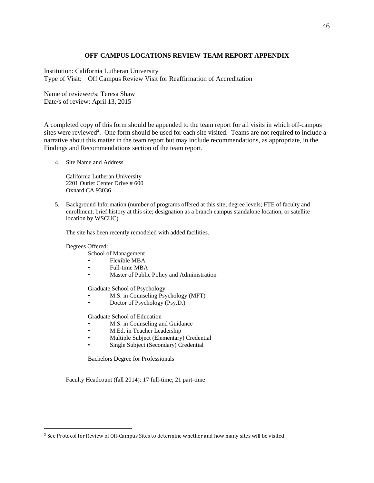# **OFF-CAMPUS LOCATIONS REVIEW-TEAM REPORT APPENDIX**

Institution: California Lutheran University Type of Visit: Off Campus Review Visit for Reaffirmation of Accreditation

Name of reviewer/s: Teresa Shaw Date/s of review: April 13, 2015

A completed copy of this form should be appended to the team report for all visits in which off-campus sites were reviewed<sup>[2](#page-46-0)</sup>. One form should be used for each site visited. Teams are not required to include a narrative about this matter in the team report but may include recommendations, as appropriate, in the Findings and Recommendations section of the team report.

4. Site Name and Address

California Lutheran University 2201 Outlet Center Drive # 600 Oxnard CA 93036

5. Background Information (number of programs offered at this site; degree levels; FTE of faculty and enrollment; brief history at this site; designation as a branch campus standalone location, or satellite location by WSCUC)

The site has been recently remodeled with added facilities.

Degrees Offered:

 $\overline{a}$ 

- School of Management
- [Flexible MBA](http://www.callutheran.edu/mba)
- Full-time MBA
- [Master of Public Policy and Administration](http://www.callutheran.edu/mppa)

Graduate School of Psychology

- [M.S. in Counseling Psychology \(MFT\)](http://www.callutheran.edu/mft)
- Doctor of Psychology (Psy.D.)

Graduate School of Education

- [M.S. in Counseling and Guidance](http://www.callutheran.edu/education/programs/counseling_guidance/ms_pps.php)
- M.Ed. in Teacher Leadership
- Multiple Subject (Elementary) Credential
- Single Subject (Secondary) Credential

Bachelors Degree for Professionals

Faculty Headcount (fall 2014): 17 full-time; 21 part-time

<span id="page-46-0"></span><sup>&</sup>lt;sup>2</sup> See Protocol for Review of Off-Campus Sites to determine whether and how many sites will be visited.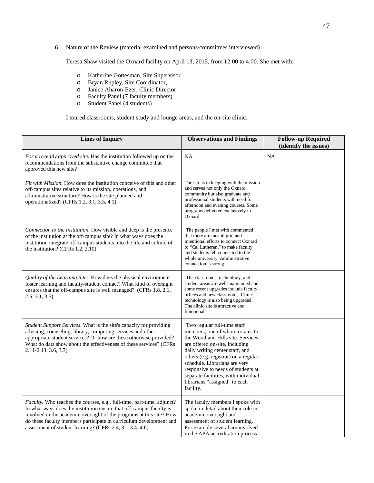6. Nature of the Review (material examined and persons/committees interviewed)

Teresa Shaw visited the Oxnard facility on April 13, 2015, from 12:00 to 4:00. She met with:

- o Katherine Gottesman, Site Supervisor
- Bryan Rupley, Site Coordinator,
- o Janice Aharon-Ezer, Clinic Director
- o Faculty Panel (7 faculty members)
- Student Panel (4 students)

I toured classrooms, student study and lounge areas, and the on-site clinic.

| <b>Lines of Inquiry</b>                                                                                                                                                                                                                                                                                                                                 | <b>Observations and Findings</b>                                                                                                                                                                                                                                                                                                                                              | <b>Follow-up Required</b><br>(identify the issues) |
|---------------------------------------------------------------------------------------------------------------------------------------------------------------------------------------------------------------------------------------------------------------------------------------------------------------------------------------------------------|-------------------------------------------------------------------------------------------------------------------------------------------------------------------------------------------------------------------------------------------------------------------------------------------------------------------------------------------------------------------------------|----------------------------------------------------|
| For a recently approved site. Has the institution followed up on the<br>recommendations from the substantive change committee that<br>approved this new site?                                                                                                                                                                                           | <b>NA</b>                                                                                                                                                                                                                                                                                                                                                                     | <b>NA</b>                                          |
| Fit with Mission. How does the institution conceive of this and other<br>off-campus sites relative to its mission, operations, and<br>administrative structure? How is the site planned and<br>operationalized? (CFRs 1.2, 3.1, 3.5, 4.1)                                                                                                               | The site is in keeping with the mission<br>and serves not only the Oxnard<br>community but also graduate and<br>professional students with need for<br>afternoon and evening courses. Some<br>programs delivered exclusively in<br>Oxnard.                                                                                                                                    |                                                    |
| Connection to the Institution. How visible and deep is the presence<br>of the institution at the off-campus site? In what ways does the<br>institution integrate off-campus students into the life and culture of<br>the institution? (CFRs 1.2, 2.10)                                                                                                  | The people I met with commented<br>that there are meaningful and<br>intentional efforts to connect Oxnard<br>to "Cal Lutheran," to make faculty<br>and students fell connected to the<br>whole university. Administrative<br>connection is strong.                                                                                                                            |                                                    |
| Quality of the Learning Site. How does the physical environment<br>foster learning and faculty-student contact? What kind of oversight<br>ensures that the off-campus site is well managed? (CFRs 1.8, 2.1,<br>2.5, 3.1, 3.5                                                                                                                            | The classrooms, technology, and<br>student areas are well-maintained and<br>some recent upgrades include faculty<br>offices and new classrooms. Clinic<br>technology is also being upgraded.<br>The clinic site is attractive and<br>functional.                                                                                                                              |                                                    |
| Student Support Services. What is the site's capacity for providing<br>advising, counseling, library, computing services and other<br>appropriate student services? Or how are these otherwise provided?<br>What do data show about the effectiveness of these services? (CFRs<br>2.11-2.13, 3.6, 3.7)                                                  | Two regular full-time staff<br>members, one of whom rotates to<br>the Woodland Hills site. Services<br>are offered on-site, including<br>daily writing center staff, and<br>others (e.g. registrar) on a regular<br>schedule. Librarians are very<br>responsive to needs of students at<br>separate facilities, with individual<br>librarians "assigned" to each<br>facility. |                                                    |
| Faculty. Who teaches the courses, e.g., full-time, part-time, adjunct?<br>In what ways does the institution ensure that off-campus faculty is<br>involved in the academic oversight of the programs at this site? How<br>do these faculty members participate in curriculum development and<br>assessment of student learning? (CFRs 2.4, 3.1-3.4, 4.6) | The faculty members I spoke with<br>spoke in detail about their role in<br>academic oversight and<br>assessment of student learning.<br>For example several are involved<br>in the APA accreditation process                                                                                                                                                                  |                                                    |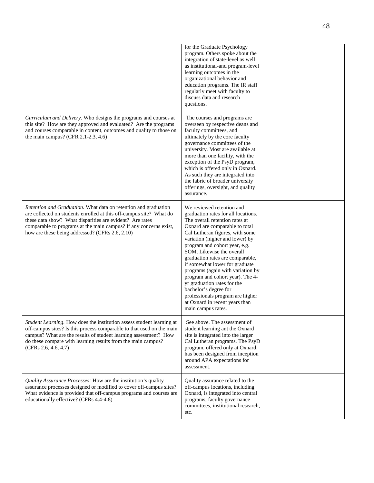|                                                                                                                                                                                                                                                                                                                            | for the Graduate Psychology<br>program. Others spoke about the<br>integration of state-level as well<br>as institutional-and program-level<br>learning outcomes in the<br>organizational behavior and<br>education programs. The IR staff<br>regularly meet with faculty to<br>discuss data and research<br>questions.                                                                                                                                                                                                                                                      |  |
|----------------------------------------------------------------------------------------------------------------------------------------------------------------------------------------------------------------------------------------------------------------------------------------------------------------------------|-----------------------------------------------------------------------------------------------------------------------------------------------------------------------------------------------------------------------------------------------------------------------------------------------------------------------------------------------------------------------------------------------------------------------------------------------------------------------------------------------------------------------------------------------------------------------------|--|
| Curriculum and Delivery. Who designs the programs and courses at<br>this site? How are they approved and evaluated? Are the programs<br>and courses comparable in content, outcomes and quality to those on<br>the main campus? (CFR 2.1-2.3, 4.6)                                                                         | The courses and programs are<br>overseen by respective deans and<br>faculty committees, and<br>ultimately by the core faculty<br>governance committees of the<br>university. Most are available at<br>more than one facility, with the<br>exception of the PsyD program,<br>which is offered only in Oxnard.<br>As such they are integrated into<br>the fabric of broader university<br>offerings, oversight, and quality<br>assurance.                                                                                                                                     |  |
| Retention and Graduation. What data on retention and graduation<br>are collected on students enrolled at this off-campus site? What do<br>these data show? What disparities are evident? Are rates<br>comparable to programs at the main campus? If any concerns exist,<br>how are these being addressed? (CFRs 2.6, 2.10) | We reviewed retention and<br>graduation rates for all locations.<br>The overall retention rates at<br>Oxnard are comparable to total<br>Cal Lutheran figures, with some<br>variation (higher and lower) by<br>program and cohort year, e.g.<br>SOM. Likewise the overall<br>graduation rates are comparable,<br>if somewhat lower for graduate<br>programs (again with variation by<br>program and cohort year). The 4-<br>yr graduation rates for the<br>bachelor's degree for<br>professionals program are higher<br>at Oxnard in recent years than<br>main campus rates. |  |
| Student Learning. How does the institution assess student learning at<br>off-campus sites? Is this process comparable to that used on the main<br>campus? What are the results of student learning assessment? How<br>do these compare with learning results from the main campus?<br>(CFRs 2.6, 4.6, 4.7)                 | See above. The assessment of<br>student learning ant the Oxnard<br>site is integrated into the larger<br>Cal Lutheran programs. The PsyD<br>program, offered only at Oxnard,<br>has been designed from inception<br>around APA expectations for<br>assessment.                                                                                                                                                                                                                                                                                                              |  |
| <i>Quality Assurance Processes:</i> How are the institution's quality<br>assurance processes designed or modified to cover off-campus sites?<br>What evidence is provided that off-campus programs and courses are<br>educationally effective? (CFRs 4.4-4.8)                                                              | Quality assurance related to the<br>off-campus locations, including<br>Oxnard, is integrated into central<br>programs, faculty governance<br>committees, institutional research,<br>etc.                                                                                                                                                                                                                                                                                                                                                                                    |  |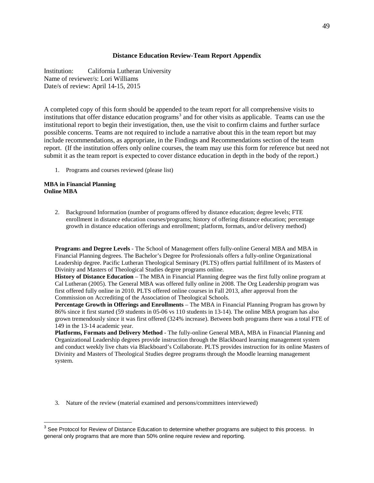### **Distance Education Review-Team Report Appendix**

Institution: California Lutheran University Name of reviewer/s: Lori Williams Date/s of review: April 14-15, 2015

A completed copy of this form should be appended to the team report for all comprehensive visits to institutions that offer distance education programs<sup>[3](#page-49-0)</sup> and for other visits as applicable. Teams can use the institutional report to begin their investigation, then, use the visit to confirm claims and further surface possible concerns. Teams are not required to include a narrative about this in the team report but may include recommendations, as appropriate, in the Findings and Recommendations section of the team report. (If the institution offers only online courses, the team may use this form for reference but need not submit it as the team report is expected to cover distance education in depth in the body of the report.)

1. Programs and courses reviewed (please list)

#### **MBA in Financial Planning Online MBA**

2. Background Information (number of programs offered by distance education; degree levels; FTE enrollment in distance education courses/programs; history of offering distance education; percentage growth in distance education offerings and enrollment; platform, formats, and/or delivery method)

**Program**s **and Degree Levels** - The School of Management offers fully-online General MBA and MBA in Financial Planning degrees. The Bachelor's Degree for Professionals offers a fully-online Organizational Leadership degree. Pacific Lutheran Theological Seminary (PLTS) offers partial fulfillment of its Masters of Divinity and Masters of Theological Studies degree programs online.

**History of Distance Education** – The MBA in Financial Planning degree was the first fully online program at Cal Lutheran (2005). The General MBA was offered fully online in 2008. The Org Leadership program was first offered fully online in 2010. PLTS offered online courses in Fall 2013, after approval from the Commission on Accrediting of the Association of Theological Schools.

**Percentage Growth in Offerings and Enrollments** – The MBA in Financial Planning Program has grown by 86% since it first started (59 students in 05-06 vs 110 students in 13-14). The online MBA program has also grown tremendously since it was first offered (324% increase). Between both programs there was a total FTE of 149 in the 13-14 academic year.

**Platforms, Formats and Delivery Method** - The fully-online General MBA, MBA in Financial Planning and Organizational Leadership degrees provide instruction through the Blackboard learning management system and conduct weekly live chats via Blackboard's Collaborate. PLTS provides instruction for its online Masters of Divinity and Masters of Theological Studies degree programs through the Moodle learning management system.

3. Nature of the review (material examined and persons/committees interviewed)

<span id="page-49-0"></span><sup>&</sup>lt;sup>3</sup> See Protocol for Review of Distance Education to determine whether programs are subject to this process. In general only programs that are more than 50% online require review and reporting.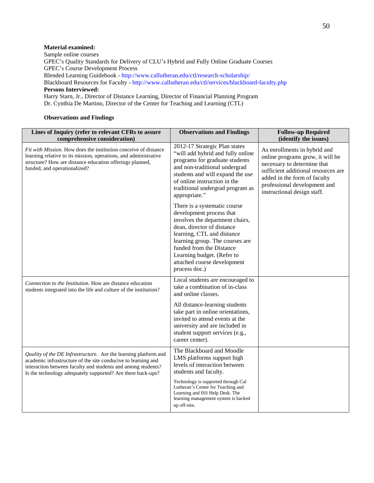### **Material examined:**

Sample online courses GPEC's Quality Standards for Delivery of CLU's Hybrid and Fully Online Graduate Courses GPEC's Course Development Process Blended Learning Guidebook - http://www.callutheran.edu/ctl/research-scholarship/ Blackboard Resources for Faculty - http://www.callutheran.edu/ctl/services/blackboard-faculty.php **Persons Interviewed:**  Harry Starn, Jr., Director of Distance Learning, Director of Financial Planning Program Dr. Cynthia De Martino, Director of the Center for Teaching and Learning (CTL)

#### **Observations and Findings**

| Lines of Inquiry (refer to relevant CFRs to assure<br>comprehensive consideration)                                                                                                                                                                              | <b>Observations and Findings</b>                                                                                                                                                                                                                                                                     | <b>Follow-up Required</b><br>(identify the issues)                                                                                                                                                                                    |
|-----------------------------------------------------------------------------------------------------------------------------------------------------------------------------------------------------------------------------------------------------------------|------------------------------------------------------------------------------------------------------------------------------------------------------------------------------------------------------------------------------------------------------------------------------------------------------|---------------------------------------------------------------------------------------------------------------------------------------------------------------------------------------------------------------------------------------|
| <i>Fit with Mission.</i> How does the institution conceive of distance<br>learning relative to its mission, operations, and administrative<br>structure? How are distance education offerings planned,<br>funded, and operationalized?                          | 2012-17 Strategic Plan states<br>"will add hybrid and fully online<br>programs for graduate students<br>and non-traditional undergrad<br>students and will expand the use<br>of online instruction in the<br>traditional undergrad program as<br>appropriate."                                       | As enrollments in hybrid and<br>online programs grow, it will be<br>necessary to determine that<br>sufficient additional resources are<br>added in the form of faculty<br>professional development and<br>instructional design staff. |
|                                                                                                                                                                                                                                                                 | There is a systematic course<br>development process that<br>involves the department chairs,<br>dean, director of distance<br>learning, CTL and distance<br>learning group. The courses are<br>funded from the Distance<br>Learning budget. (Refer to<br>attached course development<br>process doc.) |                                                                                                                                                                                                                                       |
| Connection to the Institution. How are distance education<br>students integrated into the life and culture of the institution?                                                                                                                                  | Local students are encouraged to<br>take a combination of in-class<br>and online classes.                                                                                                                                                                                                            |                                                                                                                                                                                                                                       |
|                                                                                                                                                                                                                                                                 | All distance-learning students<br>take part in online orientations,<br>invited to attend events at the<br>university and are included in<br>student support services (e.g.,<br>career center).                                                                                                       |                                                                                                                                                                                                                                       |
| Quality of the DE Infrastructure. Are the learning platform and<br>academic infrastructure of the site conducive to learning and<br>interaction between faculty and students and among students?<br>Is the technology adequately supported? Are there back-ups? | The Blackboard and Moodle<br>LMS platforms support high<br>levels of interaction between<br>students and faculty.                                                                                                                                                                                    |                                                                                                                                                                                                                                       |
|                                                                                                                                                                                                                                                                 | Technology is supported through Cal<br>Lutheran's Center for Teaching and<br>Learning and ISS Help Desk. The<br>learning management system is backed<br>up off-site.                                                                                                                                 |                                                                                                                                                                                                                                       |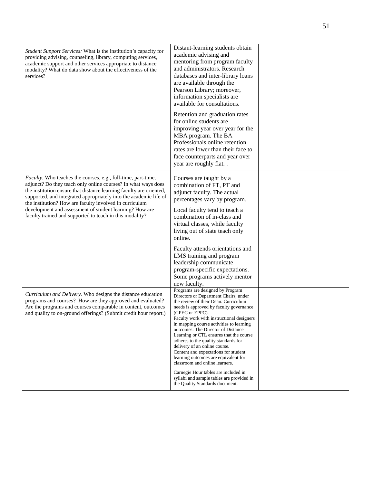| Student Support Services: What is the institution's capacity for<br>providing advising, counseling, library, computing services,<br>academic support and other services appropriate to distance<br>modality? What do data show about the effectiveness of the<br>services?                                                                                                                                                                                           | Distant-learning students obtain<br>academic advising and<br>mentoring from program faculty<br>and administrators. Research<br>databases and inter-library loans<br>are available through the<br>Pearson Library; moreover,<br>information specialists are<br>available for consultations.<br>Retention and graduation rates                                                                                                                                                                                                                                                                                                                                                 |  |
|----------------------------------------------------------------------------------------------------------------------------------------------------------------------------------------------------------------------------------------------------------------------------------------------------------------------------------------------------------------------------------------------------------------------------------------------------------------------|------------------------------------------------------------------------------------------------------------------------------------------------------------------------------------------------------------------------------------------------------------------------------------------------------------------------------------------------------------------------------------------------------------------------------------------------------------------------------------------------------------------------------------------------------------------------------------------------------------------------------------------------------------------------------|--|
|                                                                                                                                                                                                                                                                                                                                                                                                                                                                      | for online students are<br>improving year over year for the<br>MBA program. The BA<br>Professionals online retention<br>rates are lower than their face to<br>face counterparts and year over<br>year are roughly flat                                                                                                                                                                                                                                                                                                                                                                                                                                                       |  |
| <i>Faculty</i> . Who teaches the courses, e.g., full-time, part-time,<br>adjunct? Do they teach only online courses? In what ways does<br>the institution ensure that distance learning faculty are oriented,<br>supported, and integrated appropriately into the academic life of<br>the institution? How are faculty involved in curriculum<br>development and assessment of student learning? How are<br>faculty trained and supported to teach in this modality? | Courses are taught by a<br>combination of FT, PT and<br>adjunct faculty. The actual<br>percentages vary by program.<br>Local faculty tend to teach a<br>combination of in-class and<br>virtual classes, while faculty<br>living out of state teach only<br>online.<br>Faculty attends orientations and<br>LMS training and program<br>leadership communicate<br>program-specific expectations.<br>Some programs actively mentor<br>new faculty.                                                                                                                                                                                                                              |  |
| Curriculum and Delivery. Who designs the distance education<br>programs and courses? How are they approved and evaluated?<br>Are the programs and courses comparable in content, outcomes<br>and quality to on-ground offerings? (Submit credit hour report.)                                                                                                                                                                                                        | Programs are designed by Program<br>Directors or Department Chairs, under<br>the review of their Dean. Curriculum<br>needs is approved by faculty governance<br>(GPEC or EPPC).<br>Faculty work with instructional designers<br>in mapping course activities to learning<br>outcomes. The Director of Distance<br>Learning or CTL ensures that the course<br>adheres to the quality standards for<br>delivery of an online course.<br>Content and expectations for student<br>learning outcomes are equivalent for<br>classroom and online learners.<br>Carnegie Hour tables are included in<br>syllabi and sample tables are provided in<br>the Quality Standards document. |  |